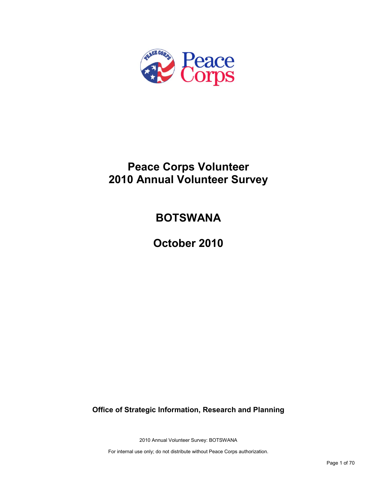

# **Peace Corps Volunteer 2010 Annual Volunteer Survey**

# **BOTSWANA**

**October 2010**

**Office of Strategic Information, Research and Planning**

2010 Annual Volunteer Survey: BOTSWANA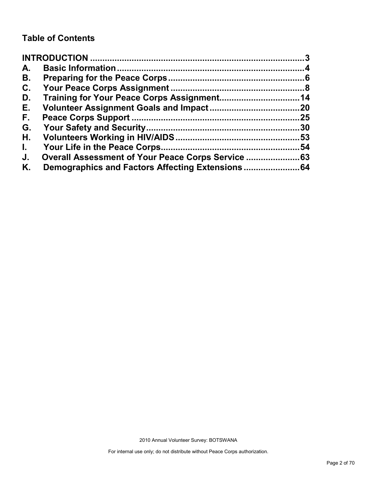# **Table of Contents**

| A.           |     |
|--------------|-----|
| В.           |     |
| C.           |     |
| D.           |     |
| Е.           |     |
| F.,          | .25 |
| G.           | .30 |
| Η.           |     |
| $\mathbf{L}$ | 54  |
| J.           |     |
| Κ.           |     |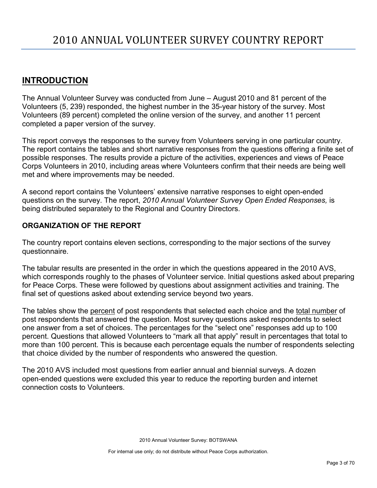# <span id="page-2-0"></span>**INTRODUCTION**

The Annual Volunteer Survey was conducted from June – August 2010 and 81 percent of the Volunteers (5, 239) responded, the highest number in the 35-year history of the survey. Most Volunteers (89 percent) completed the online version of the survey, and another 11 percent completed a paper version of the survey.

This report conveys the responses to the survey from Volunteers serving in one particular country. The report contains the tables and short narrative responses from the questions offering a finite set of possible responses. The results provide a picture of the activities, experiences and views of Peace Corps Volunteers in 2010, including areas where Volunteers confirm that their needs are being well met and where improvements may be needed.

A second report contains the Volunteers' extensive narrative responses to eight open-ended questions on the survey. The report, *2010 Annual Volunteer Survey Open Ended Responses,* is being distributed separately to the Regional and Country Directors.

### **ORGANIZATION OF THE REPORT**

The country report contains eleven sections, corresponding to the major sections of the survey questionnaire.

The tabular results are presented in the order in which the questions appeared in the 2010 AVS, which corresponds roughly to the phases of Volunteer service. Initial questions asked about preparing for Peace Corps. These were followed by questions about assignment activities and training. The final set of questions asked about extending service beyond two years.

The tables show the percent of post respondents that selected each choice and the total number of post respondents that answered the question. Most survey questions asked respondents to select one answer from a set of choices. The percentages for the "select one" responses add up to 100 percent. Questions that allowed Volunteers to "mark all that apply" result in percentages that total to more than 100 percent. This is because each percentage equals the number of respondents selecting that choice divided by the number of respondents who answered the question.

The 2010 AVS included most questions from earlier annual and biennial surveys. A dozen open-ended questions were excluded this year to reduce the reporting burden and internet connection costs to Volunteers.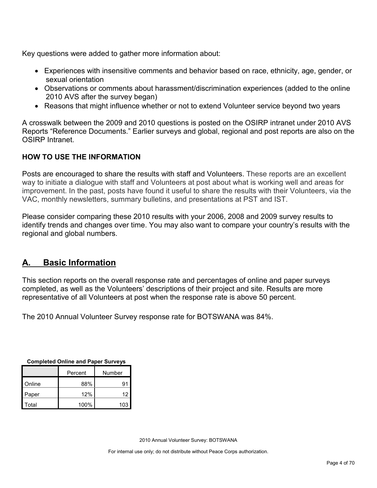Key questions were added to gather more information about:

- Experiences with insensitive comments and behavior based on race, ethnicity, age, gender, or sexual orientation
- Observations or comments about harassment/discrimination experiences (added to the online 2010 AVS after the survey began)
- Reasons that might influence whether or not to extend Volunteer service beyond two years

A crosswalk between the 2009 and 2010 questions is posted on the OSIRP intranet under 2010 AVS Reports "Reference Documents." Earlier surveys and global, regional and post reports are also on the OSIRP Intranet.

### **HOW TO USE THE INFORMATION**

Posts are encouraged to share the results with staff and Volunteers. These reports are an excellent way to initiate a dialogue with staff and Volunteers at post about what is working well and areas for improvement. In the past, posts have found it useful to share the results with their Volunteers, via the VAC, monthly newsletters, summary bulletins, and presentations at PST and IST.

Please consider comparing these 2010 results with your 2006, 2008 and 2009 survey results to identify trends and changes over time. You may also want to compare your country's results with the regional and global numbers.

# <span id="page-3-0"></span>**A. Basic Information**

This section reports on the overall response rate and percentages of online and paper surveys completed, as well as the Volunteers' descriptions of their project and site. Results are more representative of all Volunteers at post when the response rate is above 50 percent.

The 2010 Annual Volunteer Survey response rate for BOTSWANA was 84%.

| Completed Online and Paper Surveys |      |        |  |  |
|------------------------------------|------|--------|--|--|
| Percent                            |      | Number |  |  |
| Online                             | 88%  | 91     |  |  |
| Paper                              | 12%  | 12     |  |  |
| Total                              | 100% | 103    |  |  |

**Completed Online and Paper Surveys**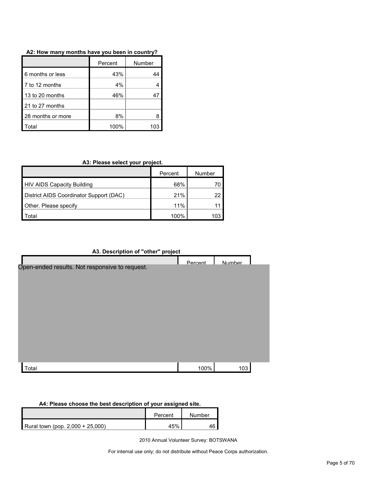| A2: How many months have you been in country? |  |
|-----------------------------------------------|--|
|-----------------------------------------------|--|

|                   | Percent | Number |
|-------------------|---------|--------|
| 6 months or less  | 43%     |        |
| 7 to 12 months    | 4%      |        |
| 13 to 20 months   | 46%     |        |
| 21 to 27 months   |         |        |
| 28 months or more | 8%      |        |
| ʻotal             | 100%    | 103    |

### **A3: Please select your project.**

|                                         | Percent | Number |
|-----------------------------------------|---------|--------|
| <b>HIV AIDS Capacity Building</b>       | 68%     |        |
| District AIDS Coordinator Support (DAC) | 21%     | 22     |
| Other. Please specify                   | 11%     |        |
| ʻotal                                   | $100\%$ | 103    |

### **A3. Description of "other" project**

|                                                | Percent | Number |  |
|------------------------------------------------|---------|--------|--|
| Open-ended results. Not responsive to request. |         |        |  |
| Total                                          | 100%    | 103    |  |

#### **A4: Please choose the best description of your assigned site.**

|                                  | Percent | Number |
|----------------------------------|---------|--------|
| Rural town (pop. 2,000 + 25,000) | 45%     |        |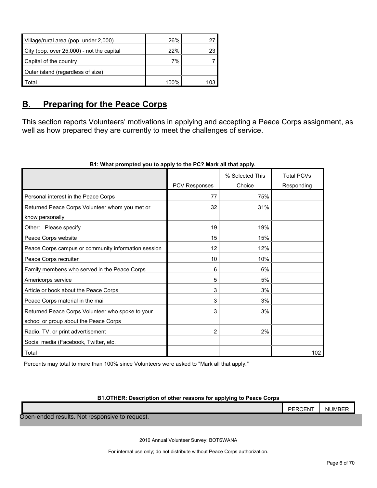| Village/rural area (pop. under 2,000)     | 26%     | 27  |
|-------------------------------------------|---------|-----|
| City (pop. over 25,000) - not the capital | 22%     | 23  |
| Capital of the country                    | 7%      |     |
| Outer island (regardless of size)         |         |     |
| Total                                     | $100\%$ | 103 |

### <span id="page-5-0"></span>**B. Preparing for the Peace Corps**

This section reports Volunteers' motivations in applying and accepting a Peace Corps assignment, as well as how prepared they are currently to meet the challenges of service.

|                                                     |               | % Selected This | <b>Total PCVs</b> |
|-----------------------------------------------------|---------------|-----------------|-------------------|
|                                                     | PCV Responses | Choice          | Responding        |
| Personal interest in the Peace Corps                | 77            | 75%             |                   |
| Returned Peace Corps Volunteer whom you met or      | 32            | 31%             |                   |
| know personally                                     |               |                 |                   |
| Other: Please specify                               | 19            | 19%             |                   |
| Peace Corps website                                 | 15            | 15%             |                   |
| Peace Corps campus or community information session | 12            | 12%             |                   |
| Peace Corps recruiter                               | 10            | 10%             |                   |
| Family member/s who served in the Peace Corps       | 6             | 6%              |                   |
| Americorps service                                  | 5             | 5%              |                   |
| Article or book about the Peace Corps               | 3             | 3%              |                   |
| Peace Corps material in the mail                    | 3             | 3%              |                   |
| Returned Peace Corps Volunteer who spoke to your    | 3             | 3%              |                   |
| school or group about the Peace Corps               |               |                 |                   |
| Radio, TV, or print advertisement                   | 2             | 2%              |                   |
| Social media (Facebook, Twitter, etc.               |               |                 |                   |
| Total                                               |               |                 | 102               |

### **B1: What prompted you to apply to the PC? Mark all that apply.**

Percents may total to more than 100% since Volunteers were asked to "Mark all that apply."

#### **B1.OTHER: Description of other reasons for applying to Peace Corps**

### PERCENT | NUMBER Open-ended results. Not responsive to request.

2010 Annual Volunteer Survey: BOTSWANA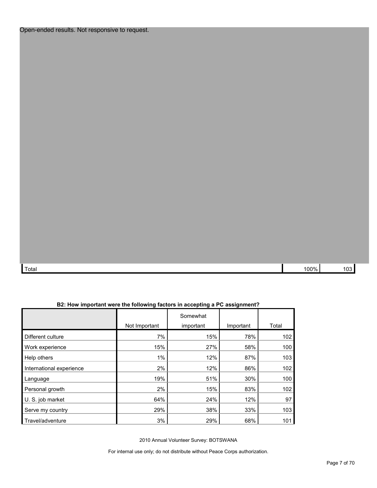| $\mathbf{r}$<br>rotal | 00% |  |
|-----------------------|-----|--|

| B2: How important were the following factors in accepting a PC assignment? |  |  |
|----------------------------------------------------------------------------|--|--|
|----------------------------------------------------------------------------|--|--|

|                          |               | Somewhat  |           |       |
|--------------------------|---------------|-----------|-----------|-------|
|                          | Not Important | important | Important | Total |
| Different culture        | 7%            | 15%       | 78%       | 102   |
| Work experience          | 15%           | 27%       | 58%       | 100   |
| Help others              | $1\%$         | 12%       | 87%       | 103   |
| International experience | 2%            | 12%       | 86%       | 102   |
| Language                 | 19%           | 51%       | 30%       | 100   |
| Personal growth          | 2%            | 15%       | 83%       | 102   |
| U. S. job market         | 64%           | 24%       | 12%       | 97    |
| Serve my country         | 29%           | 38%       | 33%       | 103   |
| Travel/adventure         | 3%            | 29%       | 68%       | 101   |

2010 Annual Volunteer Survey: BOTSWANA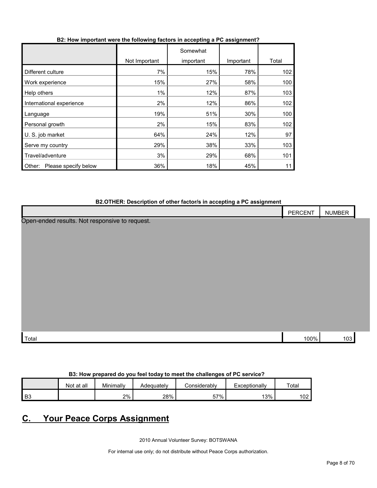| B2: How important were the following factors in accepting a PC assignment? |  |  |  |
|----------------------------------------------------------------------------|--|--|--|
|                                                                            |  |  |  |

|                                |               | Somewhat  |           |       |
|--------------------------------|---------------|-----------|-----------|-------|
|                                | Not Important | important | Important | Total |
| Different culture              | 7%            | 15%       | 78%       | 102   |
| Work experience                | 15%           | 27%       | 58%       | 100   |
| Help others                    | $1\%$         | 12%       | 87%       | 103   |
| International experience       | 2%            | 12%       | 86%       | 102   |
| Language                       | 19%           | 51%       | 30%       | 100   |
| Personal growth                | 2%            | 15%       | 83%       | 102   |
| U. S. job market               | 64%           | 24%       | 12%       | 97    |
| Serve my country               | 29%           | 38%       | 33%       | 103   |
| Travel/adventure               | 3%            | 29%       | 68%       | 101   |
| Please specify below<br>Other: | 36%           | 18%       | 45%       | 11    |

#### **B2.OTHER: Description of other factor/s in accepting a PC assignment**

| <u>-</u><br>$\tilde{\phantom{a}}$              | PERCENT | <b>NUMBER</b> |  |
|------------------------------------------------|---------|---------------|--|
| Open-ended results. Not responsive to request. |         |               |  |
|                                                |         |               |  |
|                                                |         |               |  |
|                                                |         |               |  |
|                                                |         |               |  |
|                                                |         |               |  |
|                                                |         |               |  |
|                                                |         |               |  |
|                                                |         |               |  |
|                                                |         |               |  |
| Total                                          | 100%    | 103           |  |

#### **B3: How prepared do you feel today to meet the challenges of PC service?**

|                | at all<br>Not | Minimally | Adequately | onsiderablvٽ | Exceptionally | Total     |
|----------------|---------------|-----------|------------|--------------|---------------|-----------|
| B <sub>3</sub> |               | 2%        | 28%        | 57%          | 13%           | 102<br>◡∠ |

# <span id="page-7-0"></span>**C. Your Peace Corps Assignment**

2010 Annual Volunteer Survey: BOTSWANA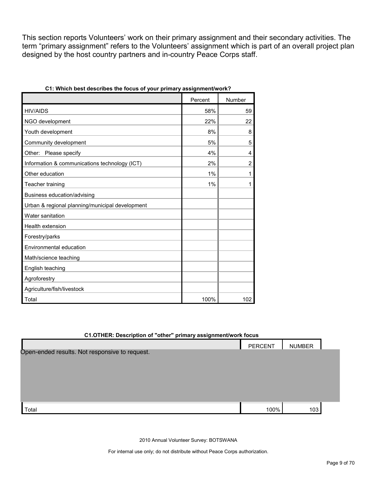This section reports Volunteers' work on their primary assignment and their secondary activities. The term "primary assignment" refers to the Volunteers' assignment which is part of an overall project plan designed by the host country partners and in-country Peace Corps staff.

|                                                 | Percent | Number         |
|-------------------------------------------------|---------|----------------|
| <b>HIV/AIDS</b>                                 | 58%     | 59             |
| NGO development                                 | 22%     | 22             |
| Youth development                               | 8%      | 8              |
| Community development                           | 5%      | 5              |
| Other: Please specify                           | 4%      | 4              |
| Information & communications technology (ICT)   | 2%      | $\overline{2}$ |
| Other education                                 | 1%      | 1              |
| Teacher training                                | 1%      | 1              |
| Business education/advising                     |         |                |
| Urban & regional planning/municipal development |         |                |
| Water sanitation                                |         |                |
| <b>Health extension</b>                         |         |                |
| Forestry/parks                                  |         |                |
| Environmental education                         |         |                |
| Math/science teaching                           |         |                |
| English teaching                                |         |                |
| Agroforestry                                    |         |                |
| Agriculture/fish/livestock                      |         |                |
| Total                                           | 100%    | 102            |

| C1: Which best describes the focus of your primary assignment/work? |  |  |
|---------------------------------------------------------------------|--|--|
|---------------------------------------------------------------------|--|--|

| C1.OTHER: Description of "other" primary assignment/work focus |                |               |  |  |  |  |  |
|----------------------------------------------------------------|----------------|---------------|--|--|--|--|--|
|                                                                | <b>PERCENT</b> | <b>NUMBER</b> |  |  |  |  |  |
| Open-ended results. Not responsive to request.                 |                |               |  |  |  |  |  |
|                                                                |                |               |  |  |  |  |  |
|                                                                |                |               |  |  |  |  |  |
|                                                                |                |               |  |  |  |  |  |
|                                                                |                |               |  |  |  |  |  |
|                                                                |                |               |  |  |  |  |  |
| Total                                                          | 100%           | 103           |  |  |  |  |  |

2010 Annual Volunteer Survey: BOTSWANA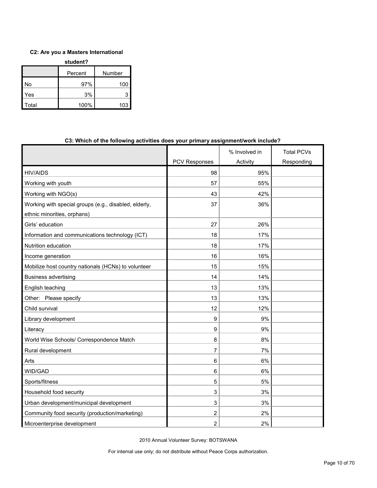#### **C2: Are you a Masters International**

| student? |         |        |  |  |  |
|----------|---------|--------|--|--|--|
|          | Percent | Number |  |  |  |
| No       | 97%     | 100    |  |  |  |
| Yes      | 3%      |        |  |  |  |
| Total    | 100%    | 103    |  |  |  |

|                                                                                      |                      | % Involved in | <b>Total PCVs</b> |
|--------------------------------------------------------------------------------------|----------------------|---------------|-------------------|
|                                                                                      | <b>PCV Responses</b> | Activity      | Responding        |
| <b>HIV/AIDS</b>                                                                      | 98                   | 95%           |                   |
| Working with youth                                                                   | 57                   | 55%           |                   |
| Working with NGO(s)                                                                  | 43                   | 42%           |                   |
| Working with special groups (e.g., disabled, elderly,<br>ethnic minorities, orphans) | 37                   | 36%           |                   |
| Girls' education                                                                     | 27                   | 26%           |                   |
| Information and communications technology (ICT)                                      | 18                   | 17%           |                   |
| Nutrition education                                                                  | 18                   | 17%           |                   |
| Income generation                                                                    | 16                   | 16%           |                   |
| Mobilize host country nationals (HCNs) to volunteer                                  | 15                   | 15%           |                   |
| <b>Business advertising</b>                                                          | 14                   | 14%           |                   |
| English teaching                                                                     | 13                   | 13%           |                   |
| Other: Please specify                                                                | 13                   | 13%           |                   |
| Child survival                                                                       | 12                   | 12%           |                   |
| Library development                                                                  | 9                    | 9%            |                   |
| Literacy                                                                             | 9                    | 9%            |                   |
| World Wise Schools/ Correspondence Match                                             | 8                    | 8%            |                   |
| Rural development                                                                    | 7                    | 7%            |                   |
| Arts                                                                                 | 6                    | 6%            |                   |
| WID/GAD                                                                              | 6                    | 6%            |                   |
| Sports/fitness                                                                       | 5                    | 5%            |                   |
| Household food security                                                              | 3                    | 3%            |                   |
| Urban development/municipal development                                              | 3                    | 3%            |                   |
| Community food security (production/marketing)                                       | 2                    | 2%            |                   |
| Microenterprise development                                                          | 2                    | 2%            |                   |

#### **C3: Which of the following activities does your primary assignment/work include?**

2010 Annual Volunteer Survey: BOTSWANA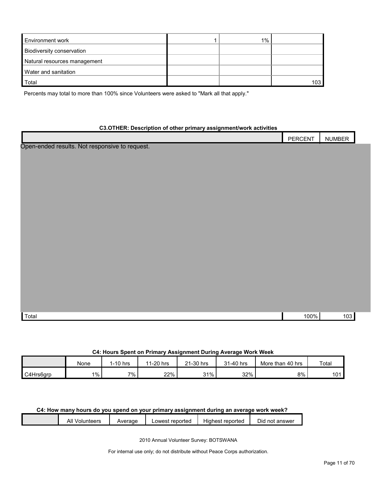| <b>Environment work</b>      | $1\%$ |     |
|------------------------------|-------|-----|
| Biodiversity conservation    |       |     |
| Natural resources management |       |     |
| Water and sanitation         |       |     |
| Total                        |       | 103 |

Percents may total to more than 100% since Volunteers were asked to "Mark all that apply."

#### **C3.OTHER: Description of other primary assignment/work activities**

|                                                | PERCENT | NUMBER |  |
|------------------------------------------------|---------|--------|--|
| Open-ended results. Not responsive to request. |         |        |  |
|                                                |         |        |  |
|                                                |         |        |  |
|                                                |         |        |  |
|                                                |         |        |  |
|                                                |         |        |  |
|                                                |         |        |  |
|                                                |         |        |  |
|                                                |         |        |  |
|                                                |         |        |  |
|                                                |         |        |  |
|                                                |         |        |  |
|                                                |         |        |  |
|                                                |         |        |  |
|                                                |         |        |  |
|                                                |         |        |  |
|                                                |         |        |  |
|                                                |         |        |  |
| Total                                          | 100%    | 103    |  |
|                                                |         |        |  |

#### **C4: Hours Spent on Primary Assignment During Average Work Week**

|           | None  | I-10 hrs | 1-20 hrs<br>44 | 21-30 hrs | 31-40 hrs | More than<br>, 40 hrs | Total        |
|-----------|-------|----------|----------------|-----------|-----------|-----------------------|--------------|
| C4Hrs6grp | $1\%$ | $7\%$    | 22%            | 31%       | 32%       | 8%                    | 101<br>1 U I |

#### **C4: How many hours do you spend on your primary assignment during an average work week?**

| All<br>Volunteers | Average | Lowest reported | Highest reported | not answer<br>Did |  |
|-------------------|---------|-----------------|------------------|-------------------|--|
|                   |         |                 |                  |                   |  |

2010 Annual Volunteer Survey: BOTSWANA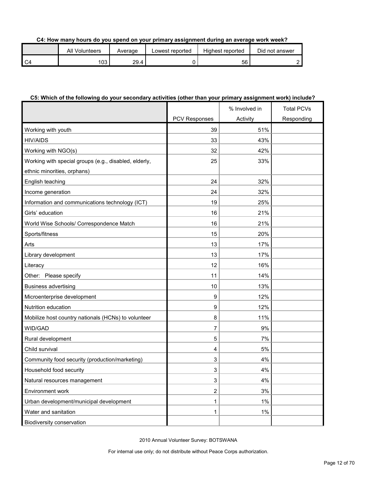#### **C4: How many hours do you spend on your primary assignment during an average work week?**

| All Volunteers | Average | Lowest reported | Highest reported | Did not answer |
|----------------|---------|-----------------|------------------|----------------|
| 103            | 29.4    |                 | 56               |                |

#### **C5: Which of the following do your secondary activities (other than your primary assignment work) include?**

|                                                       |                      | % Involved in | <b>Total PCVs</b> |
|-------------------------------------------------------|----------------------|---------------|-------------------|
|                                                       | <b>PCV Responses</b> | Activity      | Responding        |
| Working with youth                                    | 39                   | 51%           |                   |
| <b>HIV/AIDS</b>                                       | 33                   | 43%           |                   |
| Working with NGO(s)                                   | 32                   | 42%           |                   |
| Working with special groups (e.g., disabled, elderly, | 25                   | 33%           |                   |
| ethnic minorities, orphans)                           |                      |               |                   |
| English teaching                                      | 24                   | 32%           |                   |
| Income generation                                     | 24                   | 32%           |                   |
| Information and communications technology (ICT)       | 19                   | 25%           |                   |
| Girls' education                                      | 16                   | 21%           |                   |
| World Wise Schools/ Correspondence Match              | 16                   | 21%           |                   |
| Sports/fitness                                        | 15                   | 20%           |                   |
| Arts                                                  | 13                   | 17%           |                   |
| Library development                                   | 13                   | 17%           |                   |
| Literacy                                              | 12                   | 16%           |                   |
| Other: Please specify                                 | 11                   | 14%           |                   |
| <b>Business advertising</b>                           | 10                   | 13%           |                   |
| Microenterprise development                           | 9                    | 12%           |                   |
| Nutrition education                                   | 9                    | 12%           |                   |
| Mobilize host country nationals (HCNs) to volunteer   | 8                    | 11%           |                   |
| WID/GAD                                               | 7                    | 9%            |                   |
| Rural development                                     | 5                    | 7%            |                   |
| Child survival                                        | 4                    | 5%            |                   |
| Community food security (production/marketing)        | 3                    | 4%            |                   |
| Household food security                               | 3                    | 4%            |                   |
| Natural resources management                          | 3                    | $4\%$         |                   |
| Environment work                                      | 2                    | 3%            |                   |
| Urban development/municipal development               | 1                    | $1\%$         |                   |
| Water and sanitation                                  | 1                    | $1\%$         |                   |
| Biodiversity conservation                             |                      |               |                   |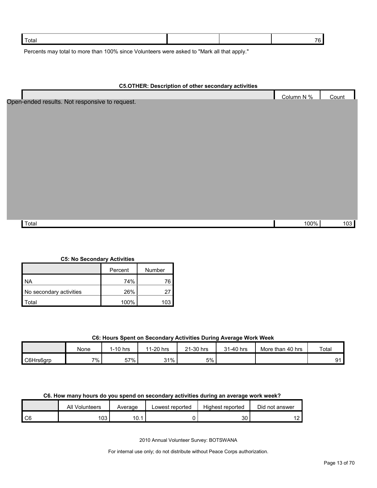| Total |  |  |
|-------|--|--|
| --    |  |  |

Percents may total to more than 100% since Volunteers were asked to "Mark all that apply."

| <b>C5.OTHER: Description of other secondary activities</b> |  |
|------------------------------------------------------------|--|

|                                                | Column N % | Count |
|------------------------------------------------|------------|-------|
| Open-ended results. Not responsive to request. |            |       |
|                                                |            |       |
|                                                |            |       |
|                                                |            |       |
|                                                |            |       |
|                                                |            |       |
|                                                |            |       |
|                                                |            |       |
|                                                |            |       |
|                                                |            |       |
|                                                |            |       |
|                                                |            |       |
|                                                |            |       |
| Total                                          | 100%       | 103   |

#### **C5: No Secondary Activities**

|                         | Percent | Number |  |
|-------------------------|---------|--------|--|
| <b>NA</b>               | 74%     | 76     |  |
| No secondary activities | 26%     |        |  |
| otal <sup>.</sup>       | 100%    | 10:    |  |

#### **C6: Hours Spent on Secondary Activities During Average Work Week**

|           | None | $1-10$ hrs | 1-20 hrs<br>44 | 21-30 hrs | 31-40 hrs | More than 40 hrs | Total |
|-----------|------|------------|----------------|-----------|-----------|------------------|-------|
| C6Hrs6grp | 7%   | 57% i      | 31%            | 5%        |           |                  | ۵1    |

#### **C6. How many hours do you spend on secondary activities during an average work week?**

|      | All<br>Volunteers | Average | Lowest reported | Highest reported | Did not answer |
|------|-------------------|---------|-----------------|------------------|----------------|
| l C6 | ഹ<br>טטו          | 10.1    |                 | ົ<br>აυ          |                |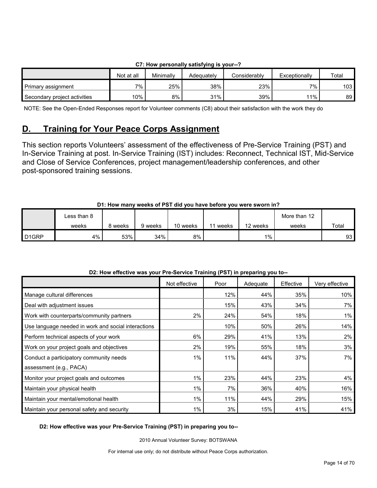| $\sim$ . Then between that $\gamma$ satisfying is your $\sim$ |            |           |            |              |               |       |  |  |  |
|---------------------------------------------------------------|------------|-----------|------------|--------------|---------------|-------|--|--|--|
|                                                               | Not at all | Minimally | Adeauatelv | Considerably | Exceptionally | Total |  |  |  |
| Primary assignment                                            | 7%         | 25%       | 38%        | 23%          | $7\%$ .       | 103   |  |  |  |
| Secondary project activities                                  | 10%        | 8%        | 31%        | 39%          | 11%           | 89    |  |  |  |

#### **C7: How personally satisfying is your--?**

NOTE: See the Open-Ended Responses report for Volunteer comments (C8) about their satisfaction with the work they do

### <span id="page-13-0"></span>**D. Training for Your Peace Corps Assignment**

This section reports Volunteers' assessment of the effectiveness of Pre-Service Training (PST) and In-Service Training at post. In-Service Training (IST) includes: Reconnect, Technical IST, Mid-Service and Close of Service Conferences, project management/leadership conferences, and other post-sponsored training sessions.

### **D1: How many weeks of PST did you have before you were sworn in?**

|                    | ∟ess than 8 |       |         |          |       |          | More than 12 |       |
|--------------------|-------------|-------|---------|----------|-------|----------|--------------|-------|
|                    | weeks       | weeks | 9 weeks | 10 weeks | weeks | 12 weeks | weeks        | Total |
| D <sub>1</sub> GRP | 4%          | 53%   | 34%     | 8%       |       | $1\%$    |              | 93    |

| <b>DE: HOW CHOOGYG WAS YOU! I TO OCTVIOL TRAINING (T OT) IN PROPRITING YOU TO</b> | Not effective | Poor | Adequate | Effective | Very effective |
|-----------------------------------------------------------------------------------|---------------|------|----------|-----------|----------------|
| Manage cultural differences                                                       |               | 12%  | 44%      | 35%       | 10%            |
| Deal with adjustment issues                                                       |               | 15%  | 43%      | 34%       | 7%             |
| Work with counterparts/community partners                                         | 2%            | 24%  | 54%      | 18%       | 1%             |
| Use language needed in work and social interactions                               |               | 10%  | 50%      | 26%       | 14%            |
| Perform technical aspects of your work                                            | 6%            | 29%  | 41%      | 13%       | $2\%$          |
| Work on your project goals and objectives                                         | 2%            | 19%  | 55%      | 18%       | 3%             |
| Conduct a participatory community needs                                           | $1\%$         | 11%  | 44%      | 37%       | 7% l           |
| assessment (e.g., PACA)                                                           |               |      |          |           |                |
| Monitor your project goals and outcomes                                           | $1\%$         | 23%  | 44%      | 23%       | 4%             |
| Maintain your physical health                                                     | $1\%$         | 7%   | 36%      | 40%       | 16%            |
| Maintain your mental/emotional health                                             | $1\%$         | 11%  | 44%      | 29%       | 15%            |
| Maintain your personal safety and security                                        | 1%            | 3%   | 15%      | 41%       | 41%            |

#### **D2: How effective was your Pre-Service Training (PST) in preparing you to--**

#### **D2: How effective was your Pre-Service Training (PST) in preparing you to--**

2010 Annual Volunteer Survey: BOTSWANA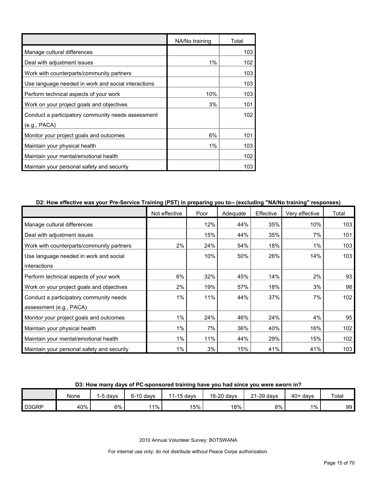|                                                     | NA/No training | Total |
|-----------------------------------------------------|----------------|-------|
| Manage cultural differences                         |                | 103   |
| Deal with adjustment issues                         | 1%             | 102   |
| Work with counterparts/community partners           |                | 103   |
| Use language needed in work and social interactions |                | 103   |
| Perform technical aspects of your work              | 10%            | 103   |
| Work on your project goals and objectives           | 3%             | 101   |
| Conduct a participatory community needs assessment  |                | 102   |
| (e.g., PACA)                                        |                |       |
| Monitor your project goals and outcomes             | 6%             | 101   |
| Maintain your physical health                       | 1%             | 103   |
| Maintain your mental/emotional health               |                | 102   |
| Maintain your personal safety and security          |                | 103   |

#### **D2: How effective was your Pre-Service Training (PST) in preparing you to-- (excluding "NA/No training" responses)**

|                                            | Not effective | Poor | Adequate | Effective | Very effective | Total |
|--------------------------------------------|---------------|------|----------|-----------|----------------|-------|
| Manage cultural differences                |               | 12%  | 44%      | 35%       | 10%            | 103   |
| Deal with adjustment issues                |               | 15%  | 44%      | 35%       | 7%             | 101   |
| Work with counterparts/community partners  | 2%            | 24%  | 54%      | 18%       | 1%             | 103   |
| Use language needed in work and social     |               | 10%  | 50%      | 26%       | 14%            | 103   |
| interactions                               |               |      |          |           |                |       |
| Perform technical aspects of your work     | 6%            | 32%  | 45%      | 14%       | 2%             | 93    |
| Work on your project goals and objectives  | 2%            | 19%  | 57%      | 18%       | 3%             | 98    |
| Conduct a participatory community needs    | 1%            | 11%  | 44%      | 37%       | 7%             | 102   |
| assessment (e.g., PACA)                    |               |      |          |           |                |       |
| Monitor your project goals and outcomes    | 1%            | 24%  | 46%      | 24%       | 4%             | 95    |
| Maintain your physical health              | 1%            | 7%   | 36%      | 40%       | 16%            | 102   |
| Maintain your mental/emotional health      | 1%            | 11%  | 44%      | 29%       | 15%            | 102   |
| Maintain your personal safety and security | $1\%$         | 3%   | 15%      | 41%       | 41%            | 103   |

#### **D3: How many days of PC-sponsored training have you had since you were sworn in?**

|       | None | -5 davs | $6-10$ days | $1-15$ days | 16-20 days | $21-39$ days | $40+$ davs | Total |
|-------|------|---------|-------------|-------------|------------|--------------|------------|-------|
| D3GRP | 40%  | $6\%$   | 11%         | 15%         | 18%        | 8%           | $1\%$      | 99    |

2010 Annual Volunteer Survey: BOTSWANA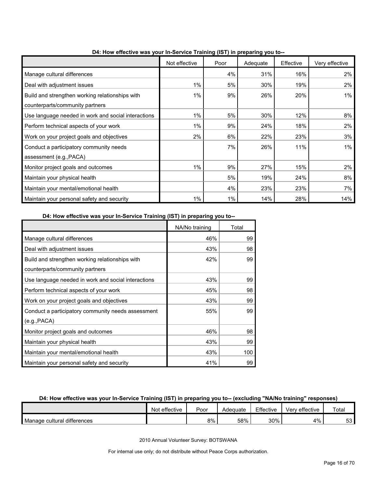|                                                     | Not effective | Poor | ס <i>נ</i> יט יידי די יידי ש<br>Adequate | Effective | Very effective |
|-----------------------------------------------------|---------------|------|------------------------------------------|-----------|----------------|
| Manage cultural differences                         |               | 4%   | 31%                                      | 16%       | 2%             |
| Deal with adjustment issues                         | $1\%$         | 5%   | 30%                                      | 19%       | 2%             |
| Build and strengthen working relationships with     | $1\%$         | 9%   | 26%                                      | 20%       | $1\%$          |
| counterparts/community partners                     |               |      |                                          |           |                |
| Use language needed in work and social interactions | $1\%$         | 5%   | 30%                                      | 12%       | 8%             |
| Perform technical aspects of your work              | 1%            | 9%   | 24%                                      | 18%       | 2%             |
| Work on your project goals and objectives           | 2%            | 6%   | 22%                                      | 23%       | 3%             |
| Conduct a participatory community needs             |               | 7%   | 26%                                      | 11%       | 1%             |
| assessment (e.g., PACA)                             |               |      |                                          |           |                |
| Monitor project goals and outcomes                  | 1%            | 9%   | 27%                                      | 15%       | 2%             |
| Maintain your physical health                       |               | 5%   | 19%                                      | 24%       | 8%             |
| Maintain your mental/emotional health               |               | 4%   | 23%                                      | 23%       | 7%             |
| Maintain your personal safety and security          | 1%            | 1%   | 14%                                      | 28%       | 14%            |

**D4: How effective was your In-Service Training (IST) in preparing you to--**

#### **D4: How effective was your In-Service Training (IST) in preparing you to--**

|                                                     | NA/No training | Total |
|-----------------------------------------------------|----------------|-------|
| Manage cultural differences                         | 46%            | 99    |
| Deal with adjustment issues                         | 43%            | 98    |
| Build and strengthen working relationships with     | 42%            | 99    |
| counterparts/community partners                     |                |       |
| Use language needed in work and social interactions | 43%            | 99    |
| Perform technical aspects of your work              | 45%            | 98    |
| Work on your project goals and objectives           | 43%            | 99    |
| Conduct a participatory community needs assessment  | 55%            | 99    |
| (e.g., PACA)                                        |                |       |
| Monitor project goals and outcomes                  | 46%            | 98    |
| Maintain your physical health                       | 43%            | 99    |
| Maintain your mental/emotional health               | 43%            | 100   |
| Maintain your personal safety and security          | 41%            | 99    |

#### **D4: How effective was your In-Service Training (IST) in preparing you to-- (excluding "NA/No training" responses)**

|                             | Not effective | Poor | Adequate | Effective | Verv effective | Total     |
|-----------------------------|---------------|------|----------|-----------|----------------|-----------|
| Manage cultural differences |               | 8%   | 58%      | 30%       | $4\%$ .        | r o<br>ວວ |

2010 Annual Volunteer Survey: BOTSWANA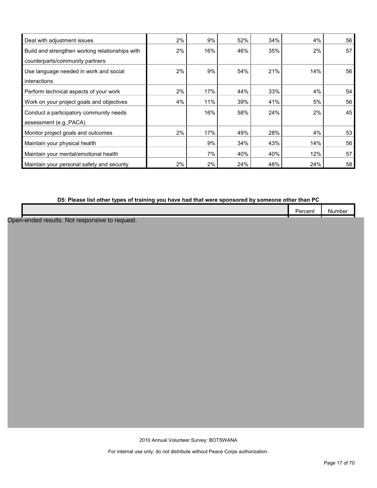| Deal with adjustment issues                     | $2\%$ | 9%  | 52% | 34% | 4%  | 56 |
|-------------------------------------------------|-------|-----|-----|-----|-----|----|
| Build and strengthen working relationships with | 2%    | 16% | 46% | 35% | 2%  | 57 |
| counterparts/community partners                 |       |     |     |     |     |    |
| Use language needed in work and social          | 2%    | 9%  | 54% | 21% | 14% | 56 |
| interactions                                    |       |     |     |     |     |    |
| Perform technical aspects of your work          | 2%    | 17% | 44% | 33% | 4%  | 54 |
| Work on your project goals and objectives       | 4%    | 11% | 39% | 41% | 5%  | 56 |
| Conduct a participatory community needs         |       | 16% | 58% | 24% | 2%  | 45 |
| assessment (e.g., PACA)                         |       |     |     |     |     |    |
| Monitor project goals and outcomes              | 2%    | 17% | 49% | 28% | 4%  | 53 |
| Maintain your physical health                   |       | 9%  | 34% | 43% | 14% | 56 |
| Maintain your mental/emotional health           |       | 7%  | 40% | 40% | 12% | 57 |
| Maintain your personal safety and security      | 2%    | 2%  | 24% | 48% | 24% | 58 |

### **D5: Please list other types of training you have had that were sponsored by someone other than PC**

|                                           | ---- | Numbe. |  |
|-------------------------------------------|------|--------|--|
|                                           |      |        |  |
| nen-ended.<br>NM<br>------<br>.<br>.<br>. |      |        |  |

Open-ended results. Not responsive to reque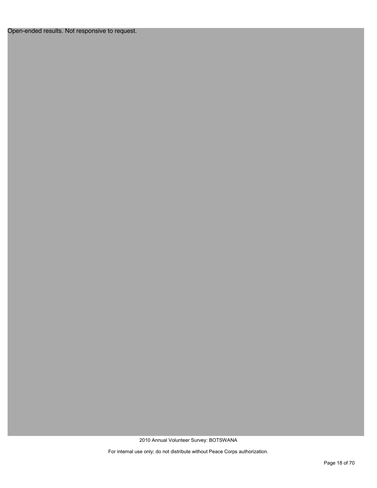Open-ended results. Not responsive to request.

2010 Annual Volunteer Survey: BOTSWANA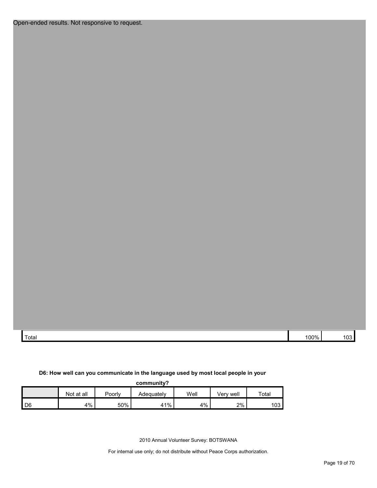Open-ended results. Not responsive to request.

| Total | ነበበ% | $\sim$<br>vJ |
|-------|------|--------------|

#### **D6: How well can you communicate in the language used by most local people in your**

| community?     |            |        |            |      |           |       |  |  |  |
|----------------|------------|--------|------------|------|-----------|-------|--|--|--|
|                | Not at all | Poorly | Adequately | Well | Verv well | Total |  |  |  |
| D <sub>6</sub> | 4%         | 50%    | 41%        | 4%   | 2%        | 103   |  |  |  |

2010 Annual Volunteer Survey: BOTSWANA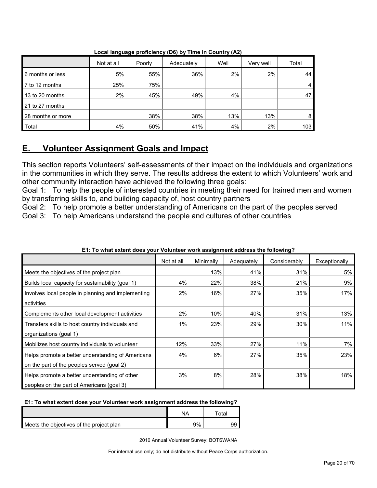|                   |            |        |            | . .  |           |                |
|-------------------|------------|--------|------------|------|-----------|----------------|
|                   | Not at all | Poorly | Adequately | Well | Very well | Total          |
| 6 months or less  | 5%         | 55%    | 36%        | 2%   | 2%        | 44             |
| 7 to 12 months    | 25%        | 75%    |            |      |           | $\overline{4}$ |
| 13 to 20 months   | 2%         | 45%    | 49%        | 4%   |           | 47             |
| 21 to 27 months   |            |        |            |      |           |                |
| 28 months or more |            | 38%    | 38%        | 13%  | 13%       | 8              |
| Total             | 4%         | 50%    | 41%        | 4%   | 2%        | 103            |

**Local language proficiency (D6) by Time in Country (A2)**

## <span id="page-19-0"></span>**E. Volunteer Assignment Goals and Impact**

This section reports Volunteers' self-assessments of their impact on the individuals and organizations in the communities in which they serve. The results address the extent to which Volunteers' work and other community interaction have achieved the following three goals:

Goal 1: To help the people of interested countries in meeting their need for trained men and women by transferring skills to, and building capacity of, host country partners

Goal 2: To help promote a better understanding of Americans on the part of the peoples served Goal 3: To help Americans understand the people and cultures of other countries

|                                                    | Not at all | Minimally | Adequately | Considerably | Exceptionally |
|----------------------------------------------------|------------|-----------|------------|--------------|---------------|
| Meets the objectives of the project plan           |            | 13%       | 41%        | 31%          | 5%            |
| Builds local capacity for sustainability (goal 1)  | 4%         | 22%       | 38%        | 21%          | 9%            |
| Involves local people in planning and implementing | 2%         | 16%       | 27%        | 35%          | 17%           |
| activities                                         |            |           |            |              |               |
| Complements other local development activities     | 2%         | 10%       | 40%        | 31%          | 13%           |
| Transfers skills to host country individuals and   | 1%         | 23%       | 29%        | 30%          | 11%           |
| organizations (goal 1)                             |            |           |            |              |               |
| Mobilizes host country individuals to volunteer    | 12%        | 33%       | 27%        | 11%          | 7%            |
| Helps promote a better understanding of Americans  | 4%         | 6%        | 27%        | 35%          | 23%           |
| on the part of the peoples served (goal 2)         |            |           |            |              |               |
| Helps promote a better understanding of other      | 3%         | 8%        | 28%        | 38%          | 18%           |
| peoples on the part of Americans (goal 3)          |            |           |            |              |               |

#### **E1: To what extent does your Volunteer work assignment address the following?**

#### **E1: To what extent does your Volunteer work assignment address the following?**

|                                          | NΔ | ⊺otal |
|------------------------------------------|----|-------|
| Meets the objectives of the project plan | 9% |       |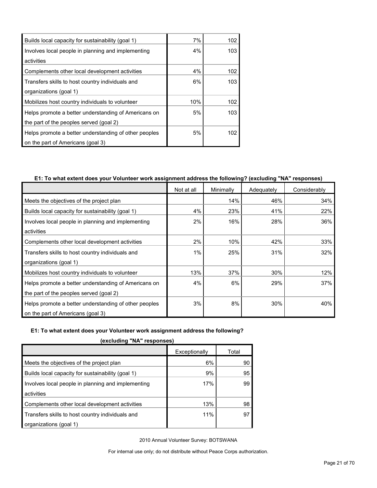| Builds local capacity for sustainability (goal 1)     | 7%  | 102 |
|-------------------------------------------------------|-----|-----|
| Involves local people in planning and implementing    | 4%  | 103 |
| activities                                            |     |     |
| Complements other local development activities        | 4%  | 102 |
| Transfers skills to host country individuals and      | 6%  | 103 |
| organizations (goal 1)                                |     |     |
| Mobilizes host country individuals to volunteer       | 10% | 102 |
| Helps promote a better understanding of Americans on  | 5%  | 103 |
| the part of the peoples served (goal 2)               |     |     |
| Helps promote a better understanding of other peoples | 5%  | 102 |
| on the part of Americans (goal 3)                     |     |     |

#### **E1: To what extent does your Volunteer work assignment address the following? (excluding "NA" responses)**

|                                                       | Not at all | Minimally | Adequately | Considerably |
|-------------------------------------------------------|------------|-----------|------------|--------------|
| Meets the objectives of the project plan              |            | 14%       | 46%        | 34%          |
| Builds local capacity for sustainability (goal 1)     | 4%         | 23%       | 41%        | 22%          |
| Involves local people in planning and implementing    | 2%         | 16%       | 28%        | 36%          |
| activities                                            |            |           |            |              |
| Complements other local development activities        | 2%         | 10%       | 42%        | 33%          |
| Transfers skills to host country individuals and      | 1%         | 25%       | 31%        | 32%          |
| organizations (goal 1)                                |            |           |            |              |
| Mobilizes host country individuals to volunteer       | 13%        | 37%       | 30%        | 12%          |
| Helps promote a better understanding of Americans on  | 4%         | 6%        | 29%        | 37%          |
| the part of the peoples served (goal 2)               |            |           |            |              |
| Helps promote a better understanding of other peoples | 3%         | 8%        | 30%        | 40%          |
| on the part of Americans (goal 3)                     |            |           |            |              |

#### **E1: To what extent does your Volunteer work assignment address the following?**

| , CACIUCINIU ITA 10300113031                       |               |       |  |
|----------------------------------------------------|---------------|-------|--|
|                                                    | Exceptionally | Total |  |
| Meets the objectives of the project plan           | 6%            | 90    |  |
| Builds local capacity for sustainability (goal 1)  | 9%            | 95    |  |
| Involves local people in planning and implementing | 17%           | 99    |  |
| activities                                         |               |       |  |
| Complements other local development activities     | 13%           | 98    |  |
| Transfers skills to host country individuals and   | 11%           | 97    |  |
| organizations (goal 1)                             |               |       |  |

**(excluding "NA" responses)**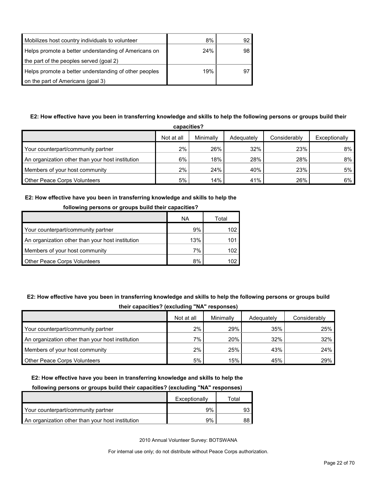| Mobilizes host country individuals to volunteer       | 8%  |    |
|-------------------------------------------------------|-----|----|
| Helps promote a better understanding of Americans on  | 24% | 98 |
| the part of the peoples served (goal 2)               |     |    |
| Helps promote a better understanding of other peoples | 19% | ö. |
| on the part of Americans (goal 3)                     |     |    |

### **E2: How effective have you been in transferring knowledge and skills to help the following persons or groups build their**

| capacities?                                      |            |           |            |              |               |
|--------------------------------------------------|------------|-----------|------------|--------------|---------------|
|                                                  | Not at all | Minimally | Adequately | Considerably | Exceptionally |
| Your counterpart/community partner               | $2\%$      | 26%       | 32%        | 23%          | $8\%$         |
| An organization other than your host institution | 6%         | 18%       | 28%        | 28%          | 8%            |
| Members of your host community                   | $2\%$      | 24%       | 40%        | 23%          | 5%            |
| <b>Other Peace Corps Volunteers</b>              | 5%         | 14%       | 41%        | 26%          | $6\%$         |

#### **E2: How effective have you been in transferring knowledge and skills to help the**

| <b>10110WILIG DELSOLIS OF GLOUDS DUILU LITEII</b> CAPACILIES : |     |       |  |
|----------------------------------------------------------------|-----|-------|--|
|                                                                | ΝA  | Total |  |
| Your counterpart/community partner                             | 9%  | 102   |  |
| An organization other than your host institution               | 13% | 101   |  |
| Members of your host community                                 | 7%  | 102.  |  |
| <b>Other Peace Corps Volunteers</b>                            | 8%  | 102.  |  |

#### **following persons or groups build their capacities?**

### **E2: How effective have you been in transferring knowledge and skills to help the following persons or groups build**

| their capacities? (excluding "NA" responses) |  |
|----------------------------------------------|--|
|----------------------------------------------|--|

|                                                  | Not at all | Minimally | Adequately | Considerably |
|--------------------------------------------------|------------|-----------|------------|--------------|
| Your counterpart/community partner               | 2%         | 29%       | 35%        | 25%          |
| An organization other than your host institution | $7\%$      | 20%       | 32%        | 32%          |
| Members of your host community                   | 2%         | 25%       | 43%        | 24%          |
| <b>Other Peace Corps Volunteers</b>              | 5%         | 15%       | 45%        | 29%          |

#### **E2: How effective have you been in transferring knowledge and skills to help the**

#### **following persons or groups build their capacities? (excluding "NA" responses)**

|                                                  | Exceptionally | Total |
|--------------------------------------------------|---------------|-------|
| Your counterpart/community partner               | 9%            |       |
| An organization other than your host institution | 9%            |       |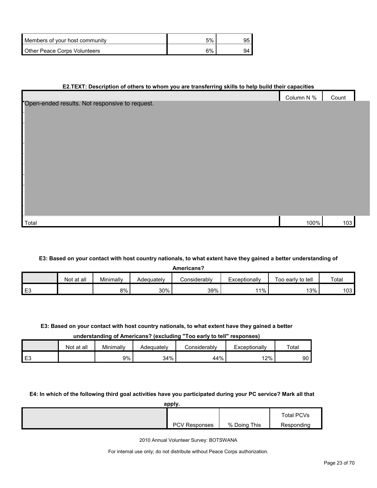| Members of your host community | 5% |  |
|--------------------------------|----|--|
| Other Peace Corps Volunteers   | 6% |  |

#### **E2.TEXT: Description of others to whom you are transferring skills to help build their capacities**

|                                                | Column N % | Count |  |
|------------------------------------------------|------------|-------|--|
| Open-ended results. Not responsive to request. |            |       |  |
|                                                |            |       |  |
|                                                |            |       |  |
|                                                |            |       |  |
|                                                |            |       |  |
|                                                |            |       |  |
|                                                |            |       |  |
|                                                |            |       |  |
|                                                |            |       |  |
|                                                |            |       |  |
|                                                |            |       |  |
|                                                |            |       |  |
|                                                |            |       |  |
| Total                                          | 100%       | 103   |  |

#### **E3: Based on your contact with host country nationals, to what extent have they gained a better understanding of**

| Americans? |            |           |            |              |               |                   |       |  |
|------------|------------|-----------|------------|--------------|---------------|-------------------|-------|--|
|            | Not at all | Minimally | Adequately | Considerablv | Exceptionally | Too early to tell | Total |  |
| E3         |            | 8%        | 30%        | 39%          | $11\%$        | 13%               | 103   |  |

#### **E3: Based on your contact with host country nationals, to what extent have they gained a better**

#### **understanding of Americans? (excluding "Too early to tell" responses)**

|      | Not at all | Minimally | Adequatelv | onsiderablvٽ | Exceptionally | Total |
|------|------------|-----------|------------|--------------|---------------|-------|
| l E3 |            | 9%        | 34%        | 44%          | 12% l         | 90    |

#### **E4: In which of the following third goal activities have you participated during your PC service? Mark all that**

| apply.               |              |            |
|----------------------|--------------|------------|
|                      |              | Total PCVs |
| <b>PCV Responses</b> | % Doing This | Responding |

2010 Annual Volunteer Survey: BOTSWANA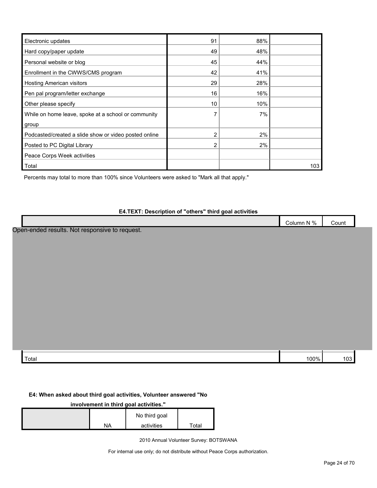| Electronic updates                                    | 91 | 88% |     |
|-------------------------------------------------------|----|-----|-----|
| Hard copy/paper update                                | 49 | 48% |     |
| Personal website or blog                              | 45 | 44% |     |
| Enrollment in the CWWS/CMS program                    | 42 | 41% |     |
| <b>Hosting American visitors</b>                      | 29 | 28% |     |
| Pen pal program/letter exchange                       | 16 | 16% |     |
| Other please specify                                  | 10 | 10% |     |
| While on home leave, spoke at a school or community   | 7  | 7%  |     |
| group                                                 |    |     |     |
| Podcasted/created a slide show or video posted online | 2  | 2%  |     |
| Posted to PC Digital Library                          | 2  | 2%  |     |
| Peace Corps Week activities                           |    |     |     |
| Total                                                 |    |     | 103 |

Percents may total to more than 100% since Volunteers were asked to "Mark all that apply."

#### **E4.TEXT: Description of "others" third goal activities**

|        | $N\%$<br>. .<br>∴olumn<br>UL | Count |  |
|--------|------------------------------|-------|--|
|        |                              | .     |  |
| $\sim$ |                              |       |  |

Open-ended results. Not responsive to request.

| Total | /טר |  |
|-------|-----|--|

#### **E4: When asked about third goal activities, Volunteer answered "No**

#### **involvement in third goal activities."**

|    | No third goal |       |
|----|---------------|-------|
| NΑ | activities    | ™otal |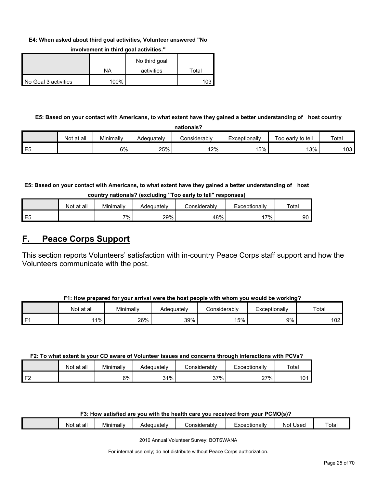#### **E4: When asked about third goal activities, Volunteer answered "No**

|                      |      | No third goal |       |
|----------------------|------|---------------|-------|
|                      | NA   | activities    | Total |
| No Goal 3 activities | 100% |               | 103   |

#### **involvement in third goal activities."**

#### **E5: Based on your contact with Americans, to what extent have they gained a better understanding of host country**

| nationals?     |            |           |            |              |               |                   |                  |  |
|----------------|------------|-----------|------------|--------------|---------------|-------------------|------------------|--|
|                | Not at all | Minimally | Adeauatelv | Considerably | Exceptionally | Too early to tell | Total            |  |
| E <sub>5</sub> |            | 6%        | 25%        | 42%          | 15%           | 13%               | 103 <sub>l</sub> |  |

**E5: Based on your contact with Americans, to what extent have they gained a better understanding of host** 

| country nationals? (excluding "Too early to tell" responses) |  |  |  |  |  |  |
|--------------------------------------------------------------|--|--|--|--|--|--|
|--------------------------------------------------------------|--|--|--|--|--|--|

|                | Not at all | Minimally | Adequately | こonsiderablv | Exceptionallv | $\tau$ <sub>otal</sub> |
|----------------|------------|-----------|------------|--------------|---------------|------------------------|
| E <sub>5</sub> |            | 7%.       | 29%        | 48%          | $7\%$         | 90                     |

### <span id="page-24-0"></span>**F. Peace Corps Support**

This section reports Volunteers' satisfaction with in-country Peace Corps staff support and how the Volunteers communicate with the post.

|      | Not at all | Minimally | Adequately | Considerabl∨ | Exceptionallv | Total      |
|------|------------|-----------|------------|--------------|---------------|------------|
| l F1 | $1\%$      | 26%       | 39%        | 15%          | 9%            | ≙∩^<br>UZ. |

#### **F2: To what extent is your CD aware of Volunteer issues and concerns through interactions with PCVs?**

|                | Not at all | Minimally | Adequatelv | Considerabl∨ | Exceptionally | Total |
|----------------|------------|-----------|------------|--------------|---------------|-------|
| F <sub>2</sub> |            | 6%        | 31%        | 37%          | 27%           | 101   |

#### **F3: How satisfied are you with the health care you received from your PCMO(s)?**

| at all<br>Not | Minimally | 'equately<br>Aue | <i>∹</i> onsiderabl∨ | Exceptionally | Used<br>Not | otal |
|---------------|-----------|------------------|----------------------|---------------|-------------|------|
|               |           |                  |                      |               |             |      |

2010 Annual Volunteer Survey: BOTSWANA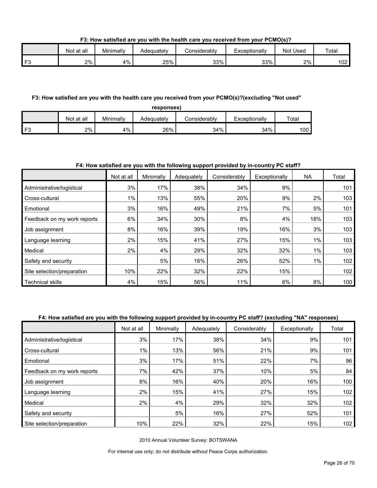**F3: How satisfied are you with the health care you received from your PCMO(s)?**

|    | Not<br>∶at all | Minimally | Adeɑuatelv | ش onsiderably | Exceptionally | Used<br>Not | Total       |
|----|----------------|-----------|------------|---------------|---------------|-------------|-------------|
| E2 | 2%             | 4%        | 25%        | 33%           | 33%           | 2%          | 102'<br>∣∪∠ |

#### **F3: How satisfied are you with the health care you received from your PCMO(s)?(excluding "Not used"**

**responses)**

|                | Not at all | Minimally | Adequately | ∴onsiderabl∨ | Exceptionally | $\tau$ ota <sub>i</sub> |
|----------------|------------|-----------|------------|--------------|---------------|-------------------------|
| F <sub>3</sub> | 2%         | 4%        | 26%        | 34%          | 34%           | 100                     |

#### **F4: How satisfied are you with the following support provided by in-country PC staff?**

|                             | Not at all | Minimally | Adequately | Considerably | Exceptionally | <b>NA</b> | Total |
|-----------------------------|------------|-----------|------------|--------------|---------------|-----------|-------|
| Administrative/logistical   | 3%         | 17%       | 38%        | 34%          | 9%            |           | 101   |
| Cross-cultural              | $1\%$      | 13%       | 55%        | 20%          | 9%            | 2%        | 103   |
| Emotional                   | 3%         | 16%       | 49%        | 21%          | 7%            | 5%        | 101   |
| Feedback on my work reports | 6%         | 34%       | 30%        | 8%           | 4%            | 18%       | 103   |
| Job assignment              | 8%         | 16%       | 39%        | 19%          | 16%           | 3%        | 103   |
| Language learning           | 2%         | 15%       | 41%        | 27%          | 15%           | $1\%$     | 103   |
| Medical                     | 2%         | 4%        | 29%        | 32%          | 32%           | $1\%$     | 103   |
| Safety and security         |            | 5%        | 16%        | 26%          | 52%           | 1%        | 102   |
| Site selection/preparation  | 10%        | 22%       | 32%        | 22%          | 15%           |           | 102   |
| <b>Technical skills</b>     | 4%         | 15%       | 56%        | 11%          | 6%            | 8%        | 100   |

#### **F4: How satisfied are you with the following support provided by in-country PC staff? (excluding "NA" responses)**

|                             | Not at all | Minimally | Adequately | Considerably | Exceptionally | Total |
|-----------------------------|------------|-----------|------------|--------------|---------------|-------|
| Administrative/logistical   | 3%         | 17%       | 38%        | 34%          | 9%            | 101   |
| Cross-cultural              | 1%         | 13%       | 56%        | 21%          | 9%            | 101   |
| Emotional                   | 3%         | 17%       | 51%        | 22%          | 7%            | 96    |
| Feedback on my work reports | 7%         | 42%       | 37%        | 10%          | 5%            | 84    |
| Job assignment              | 8%         | 16%       | 40%        | 20%          | 16%           | 100   |
| Language learning           | 2%         | 15%       | 41%        | 27%          | 15%           | 102   |
| Medical                     | 2%         | 4%        | 29%        | 32%          | 32%           | 102   |
| Safety and security         |            | 5%        | 16%        | 27%          | 52%           | 101   |
| Site selection/preparation  | 10%        | 22%       | 32%        | 22%          | 15%           | 102   |

2010 Annual Volunteer Survey: BOTSWANA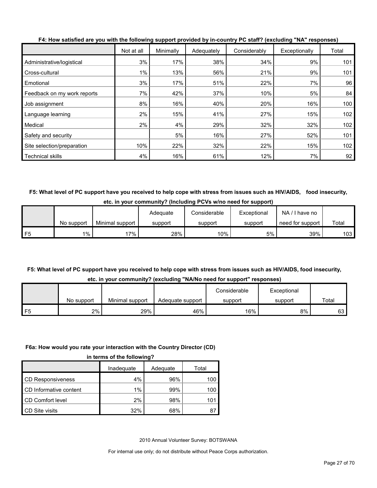|                             | Not at all | Minimally | Adequately | Considerably | Exceptionally | Total |
|-----------------------------|------------|-----------|------------|--------------|---------------|-------|
| Administrative/logistical   | 3%         | 17%       | 38%        | 34%          | 9%            | 101   |
| Cross-cultural              | $1\%$      | 13%       | 56%        | 21%          | 9%            | 101   |
| Emotional                   | 3%         | 17%       | 51%        | 22%          | 7%            | 96    |
| Feedback on my work reports | 7%         | 42%       | 37%        | 10%          | 5%            | 84    |
| Job assignment              | 8%         | 16%       | 40%        | 20%          | 16%           | 100   |
| Language learning           | 2%         | 15%       | 41%        | 27%          | 15%           | 102   |
| Medical                     | 2%         | 4%        | 29%        | 32%          | 32%           | 102   |
| Safety and security         |            | 5%        | 16%        | 27%          | 52%           | 101   |
| Site selection/preparation  | 10%        | 22%       | 32%        | 22%          | 15%           | 102   |
| <b>Technical skills</b>     | 4%         | 16%       | 61%        | 12%          | 7%            | 92    |

**F4: How satisfied are you with the following support provided by in-country PC staff? (excluding "NA" responses)**

**F5: What level of PC support have you received to help cope with stress from issues such as HIV/AIDS, food insecurity, etc. in your community? (Including PCVs w/no need for support)**

|    |            |                 | Adequate | Considerable | Exceptional | NA.<br>I have no |       |
|----|------------|-----------------|----------|--------------|-------------|------------------|-------|
|    | No support | Minimal support | support  | support      | support     | need for support | Total |
| F5 | $1\%$      | 7%              | 28%      | $10\%$       | 5%          | 39%              | 103   |

#### **F5: What level of PC support have you received to help cope with stress from issues such as HIV/AIDS, food insecurity, etc. in your community? (excluding "NA/No need for support" responses)**

|    | <u>UW. III YOUI UUIIIIIUIIIIY : (UAUIUUIIIIY TIVUIIU IIUUU IUI JUDDUIL TUJDUIIJUJ</u> |                 |                  |              |             |       |  |  |
|----|---------------------------------------------------------------------------------------|-----------------|------------------|--------------|-------------|-------|--|--|
|    |                                                                                       |                 |                  | Considerable | Exceptional |       |  |  |
|    | No support                                                                            | Minimal support | Adequate support | support      | support     | Total |  |  |
| F5 | 2%                                                                                    | 29%             | 46%              | 16%          | 8%          | 63    |  |  |

### **F6a: How would you rate your interaction with the Country Director (CD)**

|                          | Inadequate | Adequate | Total |
|--------------------------|------------|----------|-------|
| <b>CD Responsiveness</b> | 4%         | 96%      | 100   |
| CD Informative content   | 1%         | 99%      | 100   |
| CD Comfort level         | 2%         | 98%      | 101   |
| CD Site visits           | 32%        | 68%      | 8     |

2010 Annual Volunteer Survey: BOTSWANA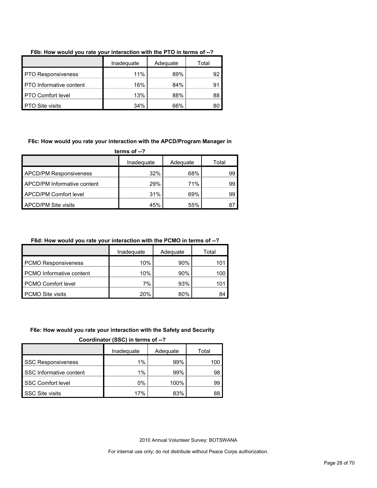|                                | Inadequate | Adequate | Total |
|--------------------------------|------------|----------|-------|
| <b>PTO Responsiveness</b>      | 11%        | 89%      | 92    |
| <b>PTO</b> Informative content | 16%        | 84%      | 91    |
| <b>PTO Comfort level</b>       | 13%        | 88%      | 88    |
| <b>PTO Site visits</b>         | 34%        | 66%      | 80    |

#### **F6b: How would you rate your interaction with the PTO in terms of --?**

#### **F6c: How would you rate your interaction with the APCD/Program Manager in**

**terms of --?**

|                               | Inadequate | Adequate | Total |
|-------------------------------|------------|----------|-------|
| <b>APCD/PM Responsiveness</b> | 32%        | 68%      | 99    |
| APCD/PM Informative content   | 29%        | 71%      | 99    |
| <b>APCD/PM Comfort level</b>  | 31%        | 69%      | 99    |
| <b>APCD/PM Site visits</b>    | 45%        | 55%      | 87    |

#### **F6d: How would you rate your interaction with the PCMO in terms of --?**

|                                 | Inadequate<br>Adequate |     | Total |  |
|---------------------------------|------------------------|-----|-------|--|
| <b>PCMO Responsiveness</b>      | 10%                    | 90% | 101   |  |
| <b>PCMO</b> Informative content | 10%                    | 90% | 100   |  |
| <b>PCMO Comfort level</b>       | 7%                     | 93% | 101   |  |
| <b>PCMO Site visits</b>         | <b>20%</b>             | 80% | 84    |  |

#### **F6e: How would you rate your interaction with the Safety and Security**

**Coordinator (SSC) in terms of --?**

|                           | Inadequate | Adequate | Total |  |
|---------------------------|------------|----------|-------|--|
| <b>SSC Responsiveness</b> | 1%         | 99%      | 100   |  |
| SSC Informative content   | 1%         | 99%      | 98    |  |
| <b>SSC Comfort level</b>  | $0\%$      | 100%     | 99    |  |
| SSC Site visits           | 17%        | 83%      | 88    |  |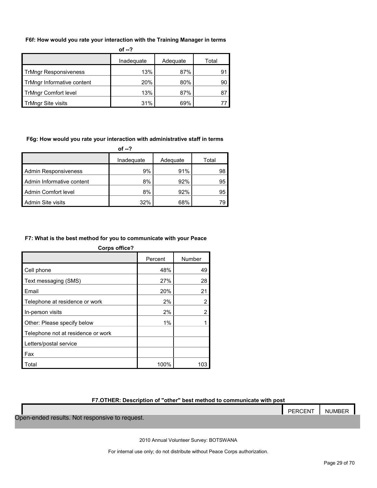#### **F6f: How would you rate your interaction with the Training Manager in terms**

| of $-2$                      |            |          |       |  |
|------------------------------|------------|----------|-------|--|
|                              | Inadequate | Adequate | Total |  |
| <b>TrMngr Responsiveness</b> | 13%        | 87%      | 91    |  |
| TrMngr Informative content   | 20%        | 80%      | 90    |  |
| <b>TrMngr Comfort level</b>  | 13%        | 87%      | 87    |  |
| <b>TrMngr Site visits</b>    | 31%        | 69%      |       |  |

#### **F6g: How would you rate your interaction with administrative staff in terms**

|                             | of --?     |          |       |
|-----------------------------|------------|----------|-------|
|                             | Inadequate | Adequate | Total |
| <b>Admin Responsiveness</b> | 9%         | 91%      | 98    |
| Admin Informative content   | 8%         | 92%      | 95    |
| Admin Comfort level         | 8%         | 92%      | 95    |
| Admin Site visits           | 32%        | 68%      |       |

#### **F7: What is the best method for you to communicate with your Peace**

| <b>Corps office?</b>               |         |        |  |  |  |
|------------------------------------|---------|--------|--|--|--|
|                                    | Percent | Number |  |  |  |
| Cell phone                         | 48%     | 49     |  |  |  |
| Text messaging (SMS)               | 27%     | 28     |  |  |  |
| Email                              | 20%     | 21     |  |  |  |
| Telephone at residence or work     | 2%      | 2      |  |  |  |
| In-person visits                   | 2%      |        |  |  |  |
| Other: Please specify below        | 1%      |        |  |  |  |
| Telephone not at residence or work |         |        |  |  |  |
| Letters/postal service             |         |        |  |  |  |
| Fax                                |         |        |  |  |  |
| Total                              | 100%    | 103    |  |  |  |

#### **F7.OTHER: Description of "other" best method to communicate with post**

|                                                | PERCENT | NUMBER |
|------------------------------------------------|---------|--------|
| Open-ended results. Not responsive to request. |         |        |

2010 Annual Volunteer Survey: BOTSWANA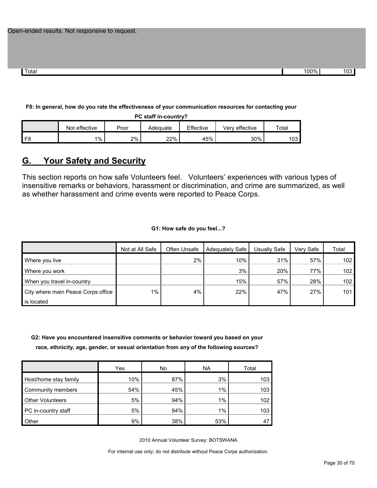Total 100% 103  $\,$  103  $\,$  103  $\,$  103  $\,$  103  $\,$  103  $\,$  103  $\,$  103  $\,$  103  $\,$  103  $\,$  103  $\,$  103  $\,$  103  $\,$  103  $\,$  103  $\,$  103  $\,$  103  $\,$  103  $\,$  103  $\,$  103  $\,$  103  $\,$  103  $\,$  103  $\,$  103

#### **F8: In general, how do you rate the effectiveness of your communication resources for contacting your**

| PC staff in-country?                                                      |    |       |     |     |     |     |  |
|---------------------------------------------------------------------------|----|-------|-----|-----|-----|-----|--|
| Effective<br>Not effective<br>Verv effective<br>Total<br>Poor<br>Adeguate |    |       |     |     |     |     |  |
|                                                                           | 1% | $2\%$ | 22% | 45% | 30% | 103 |  |

### <span id="page-29-0"></span>**G. Your Safety and Security**

This section reports on how safe Volunteers feel. Volunteers' experiences with various types of insensitive remarks or behaviors, harassment or discrimination, and crime are summarized, as well as whether harassment and crime events were reported to Peace Corps.

**G1: How safe do you feel...?**

|                                    | Not at All Safe | Often Unsafe | Adequately Safe | Usually Safe | Very Safe | Total |
|------------------------------------|-----------------|--------------|-----------------|--------------|-----------|-------|
| Where you live                     |                 | 2%           | 10%             | 31%          | 57%       | 102   |
| Where you work                     |                 |              | 3%              | 20%          | 77%       | 102   |
| When you travel in-country         |                 |              | 15%             | 57%          | 28%       | 102   |
| City where main Peace Corps office | $1\%$           | 4%           | 22%             | 47%          | 27%       | 101   |
| is located                         |                 |              |                 |              |           |       |

**G2: Have you encountered insensitive comments or behavior toward you based on your race, ethnicity, age, gender, or sexual orientation from any of the following sources?**

|                         | Yes | No  | <b>NA</b> | Total |
|-------------------------|-----|-----|-----------|-------|
| Host/home stay family   | 10% | 87% | 3%        | 103   |
| Community members       | 54% | 45% | 1%        | 103   |
| <b>Other Volunteers</b> | 5%  | 94% | 1%        | 102   |
| PC in-country staff     | 5%  | 94% | 1%        | 103   |
| Other                   | 9%  | 38% | 53%       |       |

2010 Annual Volunteer Survey: BOTSWANA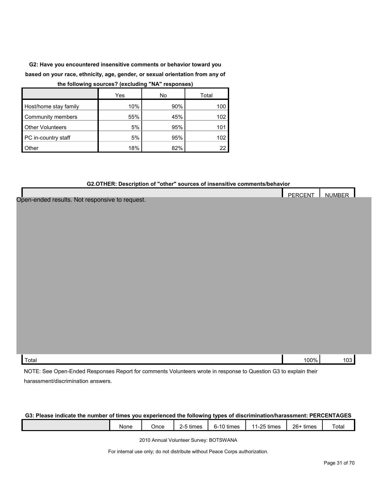**G2: Have you encountered insensitive comments or behavior toward you based on your race, ethnicity, age, gender, or sexual orientation from any of** 

#### **the following sources? (excluding "NA" responses)**

|                         | Yes | No  | Total |
|-------------------------|-----|-----|-------|
| Host/home stay family   | 10% | 90% | 100   |
| Community members       | 55% | 45% | 102   |
| <b>Other Volunteers</b> | 5%  | 95% | 101   |
| PC in-country staff     | 5%  | 95% | 102   |
| <b>Other</b>            | 18% | 82% | 22    |

#### **G2.OTHER: Description of "other" sources of insensitive comments/behavior**

|                                                                                                                 | PERCENT | <b>NUMBER</b> |  |
|-----------------------------------------------------------------------------------------------------------------|---------|---------------|--|
| Open-ended results. Not responsive to request.                                                                  |         |               |  |
|                                                                                                                 |         |               |  |
|                                                                                                                 |         |               |  |
|                                                                                                                 |         |               |  |
|                                                                                                                 |         |               |  |
|                                                                                                                 |         |               |  |
|                                                                                                                 |         |               |  |
|                                                                                                                 |         |               |  |
|                                                                                                                 |         |               |  |
|                                                                                                                 |         |               |  |
|                                                                                                                 |         |               |  |
|                                                                                                                 |         |               |  |
|                                                                                                                 |         |               |  |
|                                                                                                                 |         |               |  |
|                                                                                                                 |         |               |  |
|                                                                                                                 |         |               |  |
|                                                                                                                 |         |               |  |
|                                                                                                                 |         |               |  |
| Total                                                                                                           | 100%    | 103           |  |
| NOTE: See Open-Ended Responses Report for comments Volunteers wrote in response to Question G3 to explain their |         |               |  |

harassment/discrimination answers.

#### **G3: Please indicate the number of times you experienced the following types of discrimination/harassment: PERCENTAGES**

| None | Jnce | .<br>times | .<br>times<br>-י<br>. . | $\Omega$ $\Gamma$ +i.<br>$\overline{\phantom{a}}$<br>times | $26 -$<br>$\cdots$<br>times | $\overline{\phantom{0}}$<br>ota |
|------|------|------------|-------------------------|------------------------------------------------------------|-----------------------------|---------------------------------|
|      |      |            |                         |                                                            |                             |                                 |

2010 Annual Volunteer Survey: BOTSWANA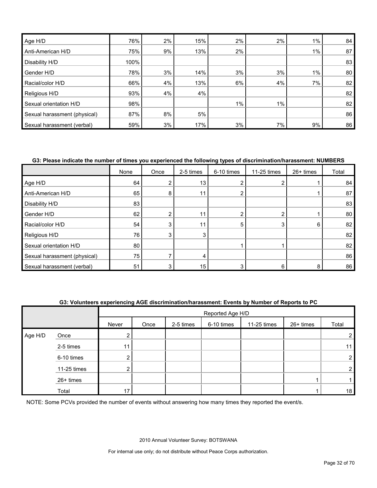| Age H/D                      | 76%  | 2% | 15% | 2%    | 2% | 1%    | 84 |
|------------------------------|------|----|-----|-------|----|-------|----|
| Anti-American H/D            | 75%  | 9% | 13% | 2%    |    | $1\%$ | 87 |
| Disability H/D               | 100% |    |     |       |    |       | 83 |
| Gender H/D                   | 78%  | 3% | 14% | 3%    | 3% | $1\%$ | 80 |
| Racial/color H/D             | 66%  | 4% | 13% | 6%    | 4% | 7%    | 82 |
| Religious H/D                | 93%  | 4% | 4%  |       |    |       | 82 |
| Sexual orientation H/D       | 98%  |    |     | $1\%$ | 1% |       | 82 |
| Sexual harassment (physical) | 87%  | 8% | 5%  |       |    |       | 86 |
| Sexual harassment (verbal)   | 59%  | 3% | 17% | 3%    | 7% | 9%    | 86 |

#### **G3: Please indicate the number of times you experienced the following types of discrimination/harassment: NUMBERS**

|                              | None            | Once | 2-5 times | 6-10 times | 11-25 times | 26+ times | Total |
|------------------------------|-----------------|------|-----------|------------|-------------|-----------|-------|
| Age H/D                      | 64              |      | 13        |            |             |           | 84    |
| Anti-American H/D            | 65              | 8    | 11        |            |             |           | 87    |
| Disability H/D               | 83              |      |           |            |             |           | 83    |
| Gender H/D                   | 62 <sub>1</sub> |      | 11        |            |             |           | 80    |
| Racial/color H/D             | 54              |      | 11        | 5          | 3           | 6         | 82    |
| Religious H/D                | 76              | 3    | 3         |            |             |           | 82    |
| Sexual orientation H/D       | 80              |      |           |            |             |           | 82    |
| Sexual harassment (physical) | 75              |      |           |            |             |           | 86    |
| Sexual harassment (verbal)   | 51              |      | 15        |            | 6           | 8         | 86    |

#### **G3: Volunteers experiencing AGE discrimination/harassment: Events by Number of Reports to PC**

|         |             |       | Reported Age H/D |           |            |             |           |                |  |  |
|---------|-------------|-------|------------------|-----------|------------|-------------|-----------|----------------|--|--|
|         |             | Never | Once             | 2-5 times | 6-10 times | 11-25 times | 26+ times | Total          |  |  |
| Age H/D | Once        |       |                  |           |            |             |           | 2              |  |  |
|         | 2-5 times   |       |                  |           |            |             |           | 11             |  |  |
|         | 6-10 times  |       |                  |           |            |             |           | $\overline{2}$ |  |  |
|         | 11-25 times | ◠     |                  |           |            |             |           | $\overline{2}$ |  |  |
|         | 26+ times   |       |                  |           |            |             |           |                |  |  |
|         | Total       | 17    |                  |           |            |             |           | 18             |  |  |

NOTE: Some PCVs provided the number of events without answering how many times they reported the event/s.

2010 Annual Volunteer Survey: BOTSWANA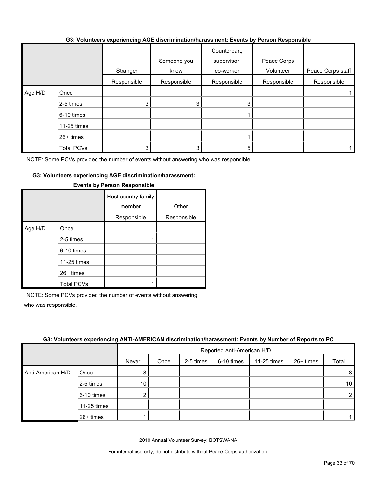#### **G3: Volunteers experiencing AGE discrimination/harassment: Events by Person Responsible**

|         |                   | Stranger    | Someone you<br>know | Counterpart,<br>supervisor,<br>co-worker | Peace Corps<br>Volunteer | Peace Corps staff |
|---------|-------------------|-------------|---------------------|------------------------------------------|--------------------------|-------------------|
|         |                   | Responsible | Responsible         | Responsible                              | Responsible              | Responsible       |
| Age H/D | Once              |             |                     |                                          |                          |                   |
|         | 2-5 times         | 3           | 3                   |                                          |                          |                   |
|         | 6-10 times        |             |                     |                                          |                          |                   |
|         | 11-25 times       |             |                     |                                          |                          |                   |
|         | 26+ times         |             |                     |                                          |                          |                   |
|         | <b>Total PCVs</b> | 3           |                     |                                          |                          |                   |

NOTE: Some PCVs provided the number of events without answering who was responsible.

#### **G3: Volunteers experiencing AGE discrimination/harassment:**

|         |                   | Host country family<br>member | Other       |
|---------|-------------------|-------------------------------|-------------|
|         |                   | Responsible                   | Responsible |
| Age H/D | Once              |                               |             |
|         | 2-5 times         |                               |             |
|         | 6-10 times        |                               |             |
|         | 11-25 times       |                               |             |
|         | $26+$ times       |                               |             |
|         | <b>Total PCVs</b> |                               |             |

#### **Events by Person Responsible**

NOTE: Some PCVs provided the number of events without answering who was responsible.

#### **G3: Volunteers experiencing ANTI-AMERICAN discrimination/harassment: Events by Number of Reports to PC**

|                   |             |       | Reported Anti-American H/D |           |            |             |             |                 |  |  |
|-------------------|-------------|-------|----------------------------|-----------|------------|-------------|-------------|-----------------|--|--|
|                   |             | Never | Once                       | 2-5 times | 6-10 times | 11-25 times | $26+$ times | Total           |  |  |
| Anti-American H/D | Once        | 8     |                            |           |            |             |             | 8               |  |  |
|                   | 2-5 times   | 10    |                            |           |            |             |             | 10 <sup>1</sup> |  |  |
|                   | 6-10 times  | ◠     |                            |           |            |             |             | $\overline{2}$  |  |  |
|                   | 11-25 times |       |                            |           |            |             |             |                 |  |  |
|                   | 26+ times   |       |                            |           |            |             |             |                 |  |  |

2010 Annual Volunteer Survey: BOTSWANA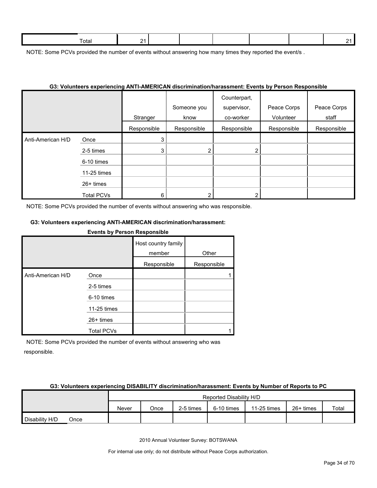| - | ™otai<br>. | . .<br>- |  |  |  |
|---|------------|----------|--|--|--|
|   |            |          |  |  |  |

NOTE: Some PCVs provided the number of events without answering how many times they reported the event/s.

#### **G3: Volunteers experiencing ANTI-AMERICAN discrimination/harassment: Events by Person Responsible**

|                   |                   | Stranger    | Someone you<br>know | Counterpart,<br>supervisor,<br>co-worker | Peace Corps<br>Volunteer | Peace Corps<br>staff |
|-------------------|-------------------|-------------|---------------------|------------------------------------------|--------------------------|----------------------|
|                   |                   | Responsible | Responsible         | Responsible                              | Responsible              | Responsible          |
| Anti-American H/D | Once              | 3           |                     |                                          |                          |                      |
|                   | 2-5 times         | 3           | $\overline{2}$      | 2                                        |                          |                      |
|                   | 6-10 times        |             |                     |                                          |                          |                      |
|                   | 11-25 times       |             |                     |                                          |                          |                      |
|                   | 26+ times         |             |                     |                                          |                          |                      |
|                   | <b>Total PCVs</b> | 6           | ⌒                   | ◠                                        |                          |                      |

NOTE: Some PCVs provided the number of events without answering who was responsible.

#### **G3: Volunteers experiencing ANTI-AMERICAN discrimination/harassment:**

**Events by Person Responsible**

|                   |                   | Host country family<br>member | Other       |
|-------------------|-------------------|-------------------------------|-------------|
|                   |                   | Responsible                   | Responsible |
| Anti-American H/D | Once              |                               |             |
|                   | 2-5 times         |                               |             |
|                   | 6-10 times        |                               |             |
|                   | 11-25 times       |                               |             |
|                   | $26+$ times       |                               |             |
|                   | <b>Total PCVs</b> |                               |             |

NOTE: Some PCVs provided the number of events without answering who was responsible.

#### **G3: Volunteers experiencing DISABILITY discrimination/harassment: Events by Number of Reports to PC**

|                |      |       | Reported Disability H/D |           |            |             |           |       |  |
|----------------|------|-------|-------------------------|-----------|------------|-------------|-----------|-------|--|
|                |      | Never | Once                    | 2-5 times | 6-10 times | 11-25 times | 26+ times | Total |  |
| Disability H/D | Once |       |                         |           |            |             |           |       |  |

2010 Annual Volunteer Survey: BOTSWANA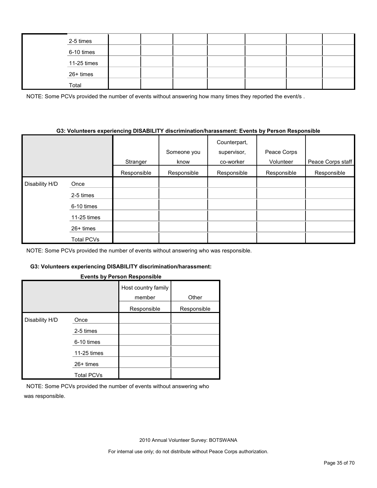|  | 2-5 times   |  |  |  |  |
|--|-------------|--|--|--|--|
|  | 6-10 times  |  |  |  |  |
|  | 11-25 times |  |  |  |  |
|  | 26+ times   |  |  |  |  |
|  | Total       |  |  |  |  |

NOTE: Some PCVs provided the number of events without answering how many times they reported the event/s.

#### **G3: Volunteers experiencing DISABILITY discrimination/harassment: Events by Person Responsible**

|                |                   | Stranger    | Someone you<br>know | Counterpart,<br>supervisor,<br>co-worker | Peace Corps<br>Volunteer | Peace Corps staff |
|----------------|-------------------|-------------|---------------------|------------------------------------------|--------------------------|-------------------|
|                |                   | Responsible | Responsible         | Responsible                              | Responsible              | Responsible       |
| Disability H/D | Once              |             |                     |                                          |                          |                   |
|                | 2-5 times         |             |                     |                                          |                          |                   |
|                | 6-10 times        |             |                     |                                          |                          |                   |
|                | 11-25 times       |             |                     |                                          |                          |                   |
|                | $26+$ times       |             |                     |                                          |                          |                   |
|                | <b>Total PCVs</b> |             |                     |                                          |                          |                   |

NOTE: Some PCVs provided the number of events without answering who was responsible.

#### **G3: Volunteers experiencing DISABILITY discrimination/harassment:**

#### **Events by Person Responsible**

|                |                   | Host country family<br>member | Other       |
|----------------|-------------------|-------------------------------|-------------|
|                |                   | Responsible                   | Responsible |
| Disability H/D | Once              |                               |             |
|                | 2-5 times         |                               |             |
|                | 6-10 times        |                               |             |
|                | 11-25 times       |                               |             |
|                | $26+$ times       |                               |             |
|                | <b>Total PCVs</b> |                               |             |

NOTE: Some PCVs provided the number of events without answering who was responsible.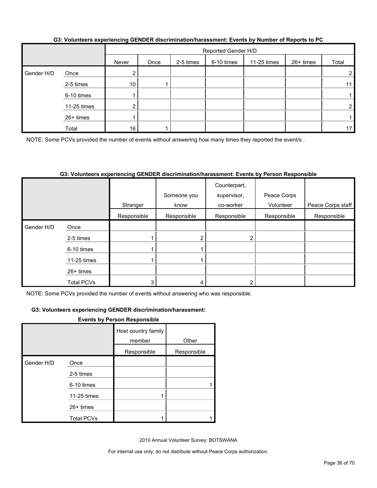|            |             |                 | Reported Gender H/D |           |            |             |           |       |  |  |
|------------|-------------|-----------------|---------------------|-----------|------------|-------------|-----------|-------|--|--|
|            |             | Never           | Once                | 2-5 times | 6-10 times | 11-25 times | 26+ times | Total |  |  |
| Gender H/D | Once        |                 |                     |           |            |             |           |       |  |  |
|            | 2-5 times   | 10 <sup>°</sup> |                     |           |            |             |           | 11    |  |  |
|            | 6-10 times  |                 |                     |           |            |             |           |       |  |  |
|            | 11-25 times |                 |                     |           |            |             |           | ⌒     |  |  |
|            | 26+ times   |                 |                     |           |            |             |           |       |  |  |
|            | Total       | 16              |                     |           |            |             |           | 17    |  |  |

#### **G3: Volunteers experiencing GENDER discrimination/harassment: Events by Number of Reports to PC**

NOTE: Some PCVs provided the number of events without answering how many times they reported the event/s.

#### **G3: Volunteers experiencing GENDER discrimination/harassment: Events by Person Responsible**

|            |                   |             | Someone you | Counterpart,<br>supervisor, | Peace Corps |                   |
|------------|-------------------|-------------|-------------|-----------------------------|-------------|-------------------|
|            |                   | Stranger    | know        | co-worker                   | Volunteer   | Peace Corps staff |
|            |                   | Responsible | Responsible | Responsible                 | Responsible | Responsible       |
| Gender H/D | Once              |             |             |                             |             |                   |
|            | 2-5 times         |             | 2           | ົ                           |             |                   |
|            | 6-10 times        |             |             |                             |             |                   |
|            | 11-25 times       |             |             |                             |             |                   |
|            | $26+$ times       |             |             |                             |             |                   |
|            | <b>Total PCVs</b> |             |             |                             |             |                   |

NOTE: Some PCVs provided the number of events without answering who was responsible.

#### **G3: Volunteers experiencing GENDER discrimination/harassment:**

#### **Events by Person Responsible**

|            |                   | Host country family<br>member | Other       |
|------------|-------------------|-------------------------------|-------------|
|            |                   | Responsible                   | Responsible |
| Gender H/D | Once              |                               |             |
|            | 2-5 times         |                               |             |
|            | 6-10 times        |                               |             |
|            | 11-25 times       |                               |             |
|            | $26+$ times       |                               |             |
|            | <b>Total PCVs</b> |                               |             |

2010 Annual Volunteer Survey: BOTSWANA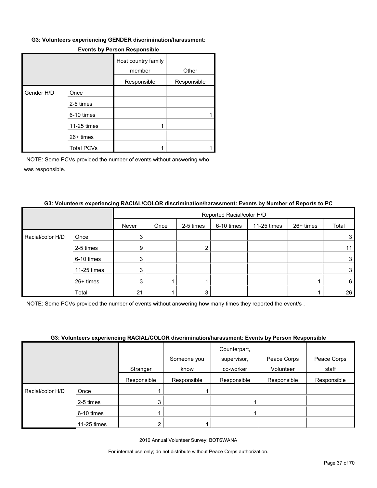#### **G3: Volunteers experiencing GENDER discrimination/harassment:**

|            |                   | Host country family<br>member | Other       |
|------------|-------------------|-------------------------------|-------------|
|            |                   | Responsible                   | Responsible |
| Gender H/D | Once              |                               |             |
|            | 2-5 times         |                               |             |
|            | 6-10 times        |                               |             |
|            | 11-25 times       |                               |             |
|            | 26+ times         |                               |             |
|            | <b>Total PCVs</b> |                               |             |

#### **Events by Person Responsible**

NOTE: Some PCVs provided the number of events without answering who was responsible.

#### **G3: Volunteers experiencing RACIAL/COLOR discrimination/harassment: Events by Number of Reports to PC**

|                  |             |       | Reported Racial/color H/D |           |            |             |           |       |
|------------------|-------------|-------|---------------------------|-----------|------------|-------------|-----------|-------|
|                  |             | Never | Once                      | 2-5 times | 6-10 times | 11-25 times | 26+ times | Total |
| Racial/color H/D | Once        | 3     |                           |           |            |             |           | 3     |
|                  | 2-5 times   | 9     |                           |           |            |             |           |       |
|                  | 6-10 times  | 3     |                           |           |            |             |           | 3     |
|                  | 11-25 times | 3     |                           |           |            |             |           | 3     |
|                  | 26+ times   | 3     |                           |           |            |             |           | 6     |
|                  | Total       | 21    |                           |           |            |             |           | 26    |

NOTE: Some PCVs provided the number of events without answering how many times they reported the event/s .

#### **G3: Volunteers experiencing RACIAL/COLOR discrimination/harassment: Events by Person Responsible**

|                  |             |             | Someone you | Counterpart,<br>supervisor, | Peace Corps | Peace Corps |
|------------------|-------------|-------------|-------------|-----------------------------|-------------|-------------|
|                  |             | Stranger    | know        | co-worker                   | Volunteer   | staff       |
|                  |             | Responsible | Responsible | Responsible                 | Responsible | Responsible |
| Racial/color H/D | Once        |             |             |                             |             |             |
|                  | 2-5 times   |             |             |                             |             |             |
|                  | 6-10 times  |             |             |                             |             |             |
|                  | 11-25 times |             |             |                             |             |             |

2010 Annual Volunteer Survey: BOTSWANA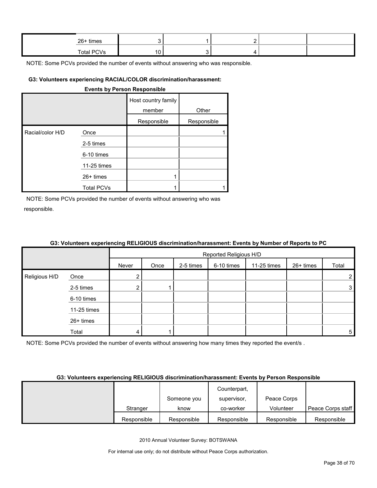| 26+ times  |  |  |  |
|------------|--|--|--|
| Total PCVs |  |  |  |

#### **G3: Volunteers experiencing RACIAL/COLOR discrimination/harassment:**

#### **Events by Person Responsible**

|                  |                   | Host country family<br>member | Other       |
|------------------|-------------------|-------------------------------|-------------|
|                  |                   | Responsible                   | Responsible |
| Racial/color H/D | Once              |                               |             |
|                  | 2-5 times         |                               |             |
|                  | 6-10 times        |                               |             |
|                  | 11-25 times       |                               |             |
|                  | $26+$ times       |                               |             |
|                  | <b>Total PCVs</b> |                               |             |

NOTE: Some PCVs provided the number of events without answering who was responsible.

|               |             |       | Reported Religious H/D |           |            |             |           |                |  |
|---------------|-------------|-------|------------------------|-----------|------------|-------------|-----------|----------------|--|
|               |             | Never | Once                   | 2-5 times | 6-10 times | 11-25 times | 26+ times | Total          |  |
| Religious H/D | Once        | ົ     |                        |           |            |             |           | $\overline{2}$ |  |
|               | 2-5 times   | 2     |                        |           |            |             |           | $\mathbf{3}$   |  |
|               | 6-10 times  |       |                        |           |            |             |           |                |  |
|               | 11-25 times |       |                        |           |            |             |           |                |  |
|               | 26+ times   |       |                        |           |            |             |           |                |  |
|               | Total       |       |                        |           |            |             |           | 5              |  |

#### **G3: Volunteers experiencing RELIGIOUS discrimination/harassment: Events by Number of Reports to PC**

NOTE: Some PCVs provided the number of events without answering how many times they reported the event/s.

#### **G3: Volunteers experiencing RELIGIOUS discrimination/harassment: Events by Person Responsible**

|             |             | Counterpart, |             |                   |
|-------------|-------------|--------------|-------------|-------------------|
|             | Someone you | supervisor,  | Peace Corps |                   |
| Stranger    | know        | co-worker    | Volunteer   | Peace Corps staff |
| Responsible | Responsible | Responsible  | Responsible | Responsible       |

2010 Annual Volunteer Survey: BOTSWANA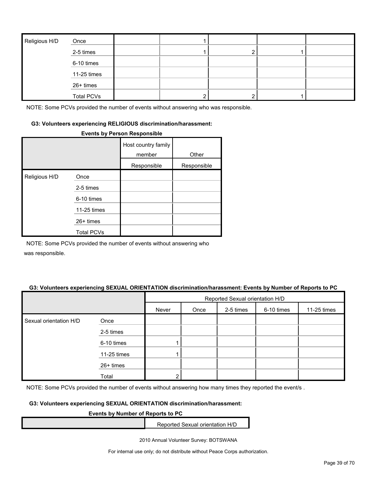| Religious H/D | Once              |  |  |  |
|---------------|-------------------|--|--|--|
|               | 2-5 times         |  |  |  |
|               | 6-10 times        |  |  |  |
|               | 11-25 times       |  |  |  |
|               | 26+ times         |  |  |  |
|               | <b>Total PCVs</b> |  |  |  |

#### **G3: Volunteers experiencing RELIGIOUS discrimination/harassment:**

#### **Events by Person Responsible**

|               |                   | Host country family<br>member | Other       |
|---------------|-------------------|-------------------------------|-------------|
|               |                   | Responsible                   | Responsible |
| Religious H/D | Once              |                               |             |
|               | 2-5 times         |                               |             |
|               | 6-10 times        |                               |             |
|               | 11-25 times       |                               |             |
|               | $26+$ times       |                               |             |
|               | <b>Total PCVs</b> |                               |             |

NOTE: Some PCVs provided the number of events without answering who

was responsible.

#### **G3: Volunteers experiencing SEXUAL ORIENTATION discrimination/harassment: Events by Number of Reports to PC**

|                        |             | Reported Sexual orientation H/D |      |           |            |             |
|------------------------|-------------|---------------------------------|------|-----------|------------|-------------|
|                        |             | Never                           | Once | 2-5 times | 6-10 times | 11-25 times |
| Sexual orientation H/D | Once        |                                 |      |           |            |             |
|                        | 2-5 times   |                                 |      |           |            |             |
|                        | 6-10 times  |                                 |      |           |            |             |
|                        | 11-25 times |                                 |      |           |            |             |
|                        | 26+ times   |                                 |      |           |            |             |
|                        | Total       |                                 |      |           |            |             |

NOTE: Some PCVs provided the number of events without answering how many times they reported the event/s.

#### **G3: Volunteers experiencing SEXUAL ORIENTATION discrimination/harassment:**

#### **Events by Number of Reports to PC**

Reported Sexual orientation H/D

2010 Annual Volunteer Survey: BOTSWANA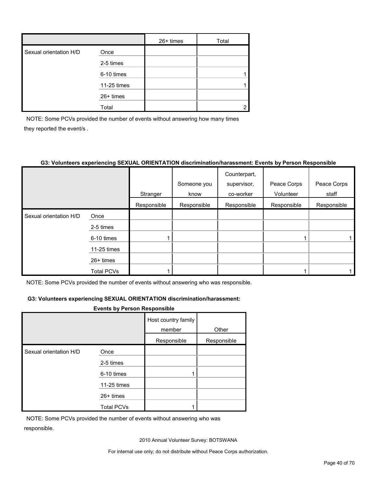|                        |             | $26+$ times | Total |
|------------------------|-------------|-------------|-------|
| Sexual orientation H/D | Once        |             |       |
|                        | 2-5 times   |             |       |
|                        | 6-10 times  |             |       |
|                        | 11-25 times |             |       |
|                        | 26+ times   |             |       |
|                        | Total       |             |       |

NOTE: Some PCVs provided the number of events without answering how many times they reported the event/s .

#### **G3: Volunteers experiencing SEXUAL ORIENTATION discrimination/harassment: Events by Person Responsible**

|                        |                   |             |             | Counterpart, |             |             |
|------------------------|-------------------|-------------|-------------|--------------|-------------|-------------|
|                        |                   |             | Someone you | supervisor,  | Peace Corps | Peace Corps |
|                        |                   | Stranger    | know        | co-worker    | Volunteer   | staff       |
|                        |                   | Responsible | Responsible | Responsible  | Responsible | Responsible |
| Sexual orientation H/D | Once              |             |             |              |             |             |
|                        | 2-5 times         |             |             |              |             |             |
|                        | 6-10 times        |             |             |              |             |             |
|                        | 11-25 times       |             |             |              |             |             |
|                        | $26+$ times       |             |             |              |             |             |
|                        | <b>Total PCVs</b> |             |             |              |             |             |

NOTE: Some PCVs provided the number of events without answering who was responsible.

#### **G3: Volunteers experiencing SEXUAL ORIENTATION discrimination/harassment:**

#### **Events by Person Responsible**

|                        |                   | Host country family |             |
|------------------------|-------------------|---------------------|-------------|
|                        |                   | member              | Other       |
|                        |                   | Responsible         | Responsible |
| Sexual orientation H/D | Once              |                     |             |
|                        | 2-5 times         |                     |             |
|                        | 6-10 times        |                     |             |
|                        | 11-25 times       |                     |             |
|                        | $26+$ times       |                     |             |
|                        | <b>Total PCVs</b> |                     |             |

NOTE: Some PCVs provided the number of events without answering who was responsible.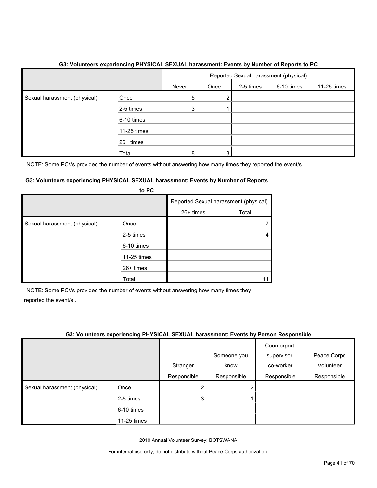|                              |             | Reported Sexual harassment (physical) |      |           |            |             |
|------------------------------|-------------|---------------------------------------|------|-----------|------------|-------------|
|                              |             | Never                                 | Once | 2-5 times | 6-10 times | 11-25 times |
| Sexual harassment (physical) | Once        | 5                                     | 2    |           |            |             |
|                              | 2-5 times   | 3                                     |      |           |            |             |
|                              | 6-10 times  |                                       |      |           |            |             |
|                              | 11-25 times |                                       |      |           |            |             |
|                              | $26+$ times |                                       |      |           |            |             |
|                              | Total       | 8                                     | 3    |           |            |             |

#### **G3: Volunteers experiencing PHYSICAL SEXUAL harassment: Events by Number of Reports to PC**

NOTE: Some PCVs provided the number of events without answering how many times they reported the event/s.

#### **G3: Volunteers experiencing PHYSICAL SEXUAL harassment: Events by Number of Reports to PC**

|                              | <b>ULT</b>  |                                       |       |
|------------------------------|-------------|---------------------------------------|-------|
|                              |             | Reported Sexual harassment (physical) |       |
|                              |             | 26+ times                             | Total |
| Sexual harassment (physical) | Once        |                                       |       |
|                              | 2-5 times   |                                       |       |
|                              | 6-10 times  |                                       |       |
|                              | 11-25 times |                                       |       |
|                              | 26+ times   |                                       |       |
|                              | Total       |                                       |       |

NOTE: Some PCVs provided the number of events without answering how many times they reported the event/s .

#### **G3: Volunteers experiencing PHYSICAL SEXUAL harassment: Events by Person Responsible**

|                              |             |             | Someone you | Counterpart,<br>supervisor, | Peace Corps |
|------------------------------|-------------|-------------|-------------|-----------------------------|-------------|
|                              |             | Stranger    | know        | co-worker                   | Volunteer   |
|                              |             | Responsible | Responsible | Responsible                 | Responsible |
| Sexual harassment (physical) | Once        | າ           |             |                             |             |
|                              | 2-5 times   | 3           |             |                             |             |
|                              | 6-10 times  |             |             |                             |             |
|                              | 11-25 times |             |             |                             |             |

2010 Annual Volunteer Survey: BOTSWANA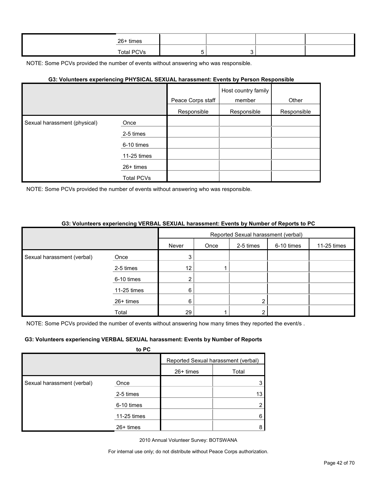| 26+ times  |  |  |
|------------|--|--|
| Total PCVs |  |  |

#### **G3: Volunteers experiencing PHYSICAL SEXUAL harassment: Events by Person Responsible**

|                              |                   |                   | Host country family |             |
|------------------------------|-------------------|-------------------|---------------------|-------------|
|                              |                   | Peace Corps staff | member              | Other       |
|                              |                   | Responsible       | Responsible         | Responsible |
| Sexual harassment (physical) | Once              |                   |                     |             |
|                              | 2-5 times         |                   |                     |             |
|                              | 6-10 times        |                   |                     |             |
|                              | 11-25 times       |                   |                     |             |
|                              | 26+ times         |                   |                     |             |
|                              | <b>Total PCVs</b> |                   |                     |             |

NOTE: Some PCVs provided the number of events without answering who was responsible.

#### **G3: Volunteers experiencing VERBAL SEXUAL harassment: Events by Number of Reports to PC**

|                            |             |               |      | Reported Sexual harassment (verbal) |            |             |
|----------------------------|-------------|---------------|------|-------------------------------------|------------|-------------|
|                            |             | Never         | Once | 2-5 times                           | 6-10 times | 11-25 times |
| Sexual harassment (verbal) | Once        | 3             |      |                                     |            |             |
|                            | 2-5 times   | 12            |      |                                     |            |             |
|                            | 6-10 times  | ◠<br><u>L</u> |      |                                     |            |             |
|                            | 11-25 times | 6             |      |                                     |            |             |
|                            | 26+ times   | 6             |      | 2                                   |            |             |
|                            | Total       | 29            |      | າ                                   |            |             |

NOTE: Some PCVs provided the number of events without answering how many times they reported the event/s.

#### **G3: Volunteers experiencing VERBAL SEXUAL harassment: Events by Number of Reports**

|                            | to PC       |             |                                     |
|----------------------------|-------------|-------------|-------------------------------------|
|                            |             |             | Reported Sexual harassment (verbal) |
|                            |             | $26+$ times | Total                               |
| Sexual harassment (verbal) | Once        |             | 3                                   |
|                            | 2-5 times   |             | 13                                  |
|                            | 6-10 times  |             | 2                                   |
|                            | 11-25 times |             | 6                                   |
|                            | $26+$ times |             | 8                                   |

2010 Annual Volunteer Survey: BOTSWANA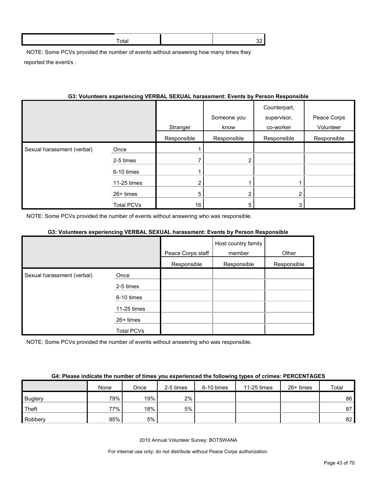NOTE: Some PCVs provided the number of events without answering how many times they reported the event/s .

#### **G3: Volunteers experiencing VERBAL SEXUAL harassment: Events by Person Responsible**

|                            |                   | Stranger       | Someone you<br>know | Counterpart,<br>supervisor,<br>co-worker | Peace Corps<br>Volunteer |
|----------------------------|-------------------|----------------|---------------------|------------------------------------------|--------------------------|
|                            |                   | Responsible    | Responsible         | Responsible                              | Responsible              |
| Sexual harassment (verbal) | Once              |                |                     |                                          |                          |
|                            | 2-5 times         |                | о                   |                                          |                          |
|                            | 6-10 times        |                |                     |                                          |                          |
|                            | 11-25 times       | $\overline{2}$ |                     |                                          |                          |
|                            | 26+ times         | 5              |                     | 2                                        |                          |
|                            | <b>Total PCVs</b> | 16             |                     | 3                                        |                          |

NOTE: Some PCVs provided the number of events without answering who was responsible.

#### **G3: Volunteers experiencing VERBAL SEXUAL harassment: Events by Person Responsible**

|                            |             |                   | Host country family |             |
|----------------------------|-------------|-------------------|---------------------|-------------|
|                            |             | Peace Corps staff | member              | Other       |
|                            |             | Responsible       | Responsible         | Responsible |
| Sexual harassment (verbal) | Once        |                   |                     |             |
|                            | 2-5 times   |                   |                     |             |
|                            | 6-10 times  |                   |                     |             |
|                            | 11-25 times |                   |                     |             |
|                            | 26+ times   |                   |                     |             |
|                            | Total PCVs  |                   |                     |             |

NOTE: Some PCVs provided the number of events without answering who was responsible.

#### **G4: Please indicate the number of times you experienced the following types of crimes: PERCENTAGES**

|                | None | Once | 2-5 times | 6-10 times | 11-25 times | $26+$ times | Total |
|----------------|------|------|-----------|------------|-------------|-------------|-------|
| <b>Buglary</b> | 79%  | 19%  | $2\%$     |            |             |             | 86    |
| Theft          | 77%  | 18%  | 5%        |            |             |             | 87    |
| Robbery        | 95%  | 5%   |           |            |             |             | 82    |

2010 Annual Volunteer Survey: BOTSWANA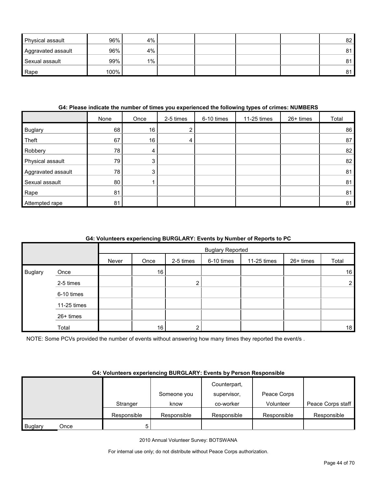| Physical assault   | 96%  | 4%    |  |  | 82 |
|--------------------|------|-------|--|--|----|
| Aggravated assault | 96%  | 4%    |  |  | 81 |
| Sexual assault     | 99%  | $1\%$ |  |  | 81 |
| Rape               | 100% |       |  |  | 81 |

#### **G4: Please indicate the number of times you experienced the following types of crimes: NUMBERS**

|                    | None | Once | 2-5 times      | 6-10 times | 11-25 times | 26+ times | Total |
|--------------------|------|------|----------------|------------|-------------|-----------|-------|
| Buglary            | 68   | 16   | 2 <sub>1</sub> |            |             |           | 86    |
| Theft              | 67   | 16   | 4              |            |             |           | 87    |
| Robbery            | 78   | 4    |                |            |             |           | 82    |
| Physical assault   | 79   | 3    |                |            |             |           | 82    |
| Aggravated assault | 78   | 3    |                |            |             |           | 81    |
| Sexual assault     | 80   |      |                |            |             |           | 81    |
| Rape               | 81   |      |                |            |             |           | 81    |
| Attempted rape     | 81   |      |                |            |             |           | 81    |

#### **G4: Volunteers experiencing BURGLARY: Events by Number of Reports to PC**

|                |             |       | <b>Buglary Reported</b> |           |            |             |           |                |
|----------------|-------------|-------|-------------------------|-----------|------------|-------------|-----------|----------------|
|                |             | Never | Once                    | 2-5 times | 6-10 times | 11-25 times | 26+ times | Total          |
| <b>Buglary</b> | Once        |       | 16                      |           |            |             |           | 16             |
|                | 2-5 times   |       |                         | റ         |            |             |           | $\overline{2}$ |
|                | 6-10 times  |       |                         |           |            |             |           |                |
|                | 11-25 times |       |                         |           |            |             |           |                |
|                | 26+ times   |       |                         |           |            |             |           |                |
|                | Total       |       | 16 <sub>1</sub>         | ◠         |            |             |           | 18             |

NOTE: Some PCVs provided the number of events without answering how many times they reported the event/s .

#### **G4: Volunteers experiencing BURGLARY: Events by Person Responsible**

|         |      |             |             | Counterpart, |             |                   |
|---------|------|-------------|-------------|--------------|-------------|-------------------|
|         |      |             | Someone you | supervisor,  | Peace Corps |                   |
|         |      | Stranger    | know        | co-worker    | Volunteer   | Peace Corps staff |
|         |      | Responsible | Responsible | Responsible  | Responsible | Responsible       |
| Buglary | Once | 5           |             |              |             |                   |

2010 Annual Volunteer Survey: BOTSWANA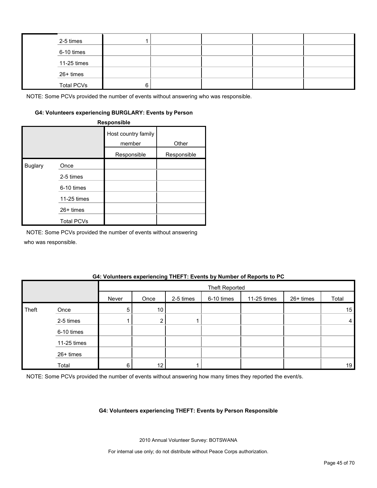| 2-5 times         |   |  |  |
|-------------------|---|--|--|
| 6-10 times        |   |  |  |
| 11-25 times       |   |  |  |
| 26+ times         |   |  |  |
| <b>Total PCVs</b> | ี |  |  |

#### **G4: Volunteers experiencing BURGLARY: Events by Person**

**Responsible**

|                |                   | Host country family<br>member<br>Responsible | Other<br>Responsible |
|----------------|-------------------|----------------------------------------------|----------------------|
|                |                   |                                              |                      |
| <b>Buglary</b> | Once              |                                              |                      |
|                | 2-5 times         |                                              |                      |
|                | 6-10 times        |                                              |                      |
|                | 11-25 times       |                                              |                      |
|                | 26+ times         |                                              |                      |
|                | <b>Total PCVs</b> |                                              |                      |

NOTE: Some PCVs provided the number of events without answering

who was responsible.

#### **G4: Volunteers experiencing THEFT: Events by Number of Reports to PC**

|       |             |       | <b>Theft Reported</b> |           |            |             |           |                |  |  |  |
|-------|-------------|-------|-----------------------|-----------|------------|-------------|-----------|----------------|--|--|--|
|       |             | Never | Once                  | 2-5 times | 6-10 times | 11-25 times | 26+ times | Total          |  |  |  |
| Theft | Once        | 5     | 10 <sup>°</sup>       |           |            |             |           | 15             |  |  |  |
|       | 2-5 times   |       | ◠                     |           |            |             |           | $\overline{4}$ |  |  |  |
|       | 6-10 times  |       |                       |           |            |             |           |                |  |  |  |
|       | 11-25 times |       |                       |           |            |             |           |                |  |  |  |
|       | 26+ times   |       |                       |           |            |             |           |                |  |  |  |
|       | Total       | 6     | 12 <sub>1</sub>       |           |            |             |           | 19             |  |  |  |

NOTE: Some PCVs provided the number of events without answering how many times they reported the event/s.

#### **G4: Volunteers experiencing THEFT: Events by Person Responsible**

2010 Annual Volunteer Survey: BOTSWANA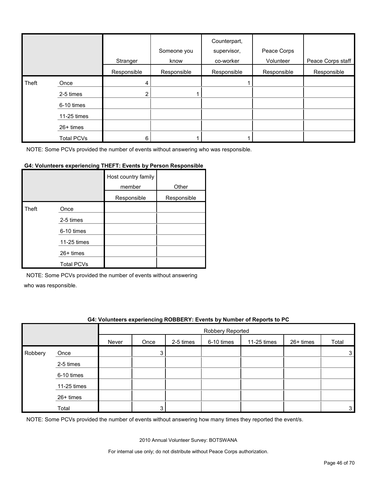|       |                   | Stranger    | Someone you<br>know | Counterpart,<br>supervisor,<br>co-worker | Peace Corps<br>Volunteer | Peace Corps staff |
|-------|-------------------|-------------|---------------------|------------------------------------------|--------------------------|-------------------|
|       |                   | Responsible | Responsible         | Responsible                              | Responsible              | Responsible       |
| Theft | Once              | 4           |                     |                                          |                          |                   |
|       | 2-5 times         | 2           |                     |                                          |                          |                   |
|       | 6-10 times        |             |                     |                                          |                          |                   |
|       | 11-25 times       |             |                     |                                          |                          |                   |
|       | $26+$ times       |             |                     |                                          |                          |                   |
|       | <b>Total PCVs</b> | 6           |                     |                                          |                          |                   |

#### **G4: Volunteers experiencing THEFT: Events by Person Responsible**

|       |                   | Host country family<br>member | Other       |
|-------|-------------------|-------------------------------|-------------|
|       |                   | Responsible                   | Responsible |
| Theft | Once              |                               |             |
|       | 2-5 times         |                               |             |
|       | 6-10 times        |                               |             |
|       | 11-25 times       |                               |             |
|       | $26+$ times       |                               |             |
|       | <b>Total PCVs</b> |                               |             |

NOTE: Some PCVs provided the number of events without answering

who was responsible.

#### **G4: Volunteers experiencing ROBBERY: Events by Number of Reports to PC**

|         |             |       | Robbery Reported |           |            |             |           |       |
|---------|-------------|-------|------------------|-----------|------------|-------------|-----------|-------|
|         |             | Never | Once             | 2-5 times | 6-10 times | 11-25 times | 26+ times | Total |
| Robbery | Once        |       | 3                |           |            |             |           | 3     |
|         | 2-5 times   |       |                  |           |            |             |           |       |
|         | 6-10 times  |       |                  |           |            |             |           |       |
|         | 11-25 times |       |                  |           |            |             |           |       |
|         | 26+ times   |       |                  |           |            |             |           |       |
|         | Total       |       | ς                |           |            |             |           | 3     |

NOTE: Some PCVs provided the number of events without answering how many times they reported the event/s.

2010 Annual Volunteer Survey: BOTSWANA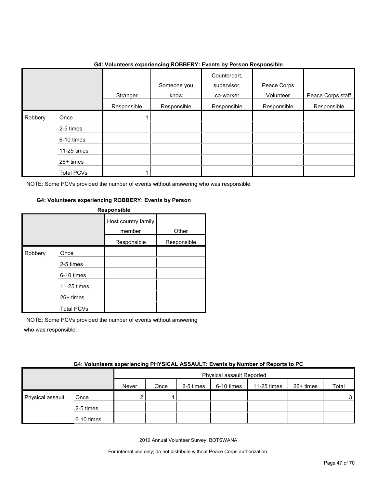|         |                                                                                  |             | ັ                   |                                          |                          |                   |
|---------|----------------------------------------------------------------------------------|-------------|---------------------|------------------------------------------|--------------------------|-------------------|
|         |                                                                                  | Stranger    | Someone you<br>know | Counterpart,<br>supervisor,<br>co-worker | Peace Corps<br>Volunteer | Peace Corps staff |
|         |                                                                                  | Responsible | Responsible         | Responsible                              | Responsible              | Responsible       |
| Robbery | Once<br>2-5 times<br>6-10 times<br>11-25 times<br>26+ times<br><b>Total PCVs</b> |             |                     |                                          |                          |                   |

#### **G4: Volunteers experiencing ROBBERY: Events by Person Responsible**

NOTE: Some PCVs provided the number of events without answering who was responsible.

#### **G4: Volunteers experiencing ROBBERY: Events by Person**

|         |                   | <b>Responsible</b>            |             |
|---------|-------------------|-------------------------------|-------------|
|         |                   | Host country family<br>member | Other       |
|         |                   | Responsible                   | Responsible |
| Robbery | Once              |                               |             |
|         | 2-5 times         |                               |             |
|         | 6-10 times        |                               |             |
|         | 11-25 times       |                               |             |
|         | $26+$ times       |                               |             |
|         | <b>Total PCVs</b> |                               |             |

NOTE: Some PCVs provided the number of events without answering who was responsible.

| G4: Volunteers experiencing PHYSICAL ASSAULT: Events by Number of Reports to PC |
|---------------------------------------------------------------------------------|
|                                                                                 |
|                                                                                 |

|                  |            |       | Physical assault Reported |           |            |             |           |                |  |
|------------------|------------|-------|---------------------------|-----------|------------|-------------|-----------|----------------|--|
|                  |            | Never | Once                      | 2-5 times | 6-10 times | 11-25 times | 26+ times | Total          |  |
| Physical assault | Once       |       |                           |           |            |             |           | 3 <sup>1</sup> |  |
|                  | 2-5 times  |       |                           |           |            |             |           |                |  |
|                  | 6-10 times |       |                           |           |            |             |           |                |  |

2010 Annual Volunteer Survey: BOTSWANA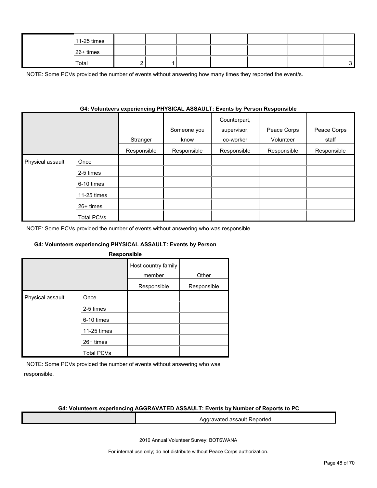| 11-25 times |  |  |  |  |
|-------------|--|--|--|--|
| 26+ times   |  |  |  |  |
| Total       |  |  |  |  |

NOTE: Some PCVs provided the number of events without answering how many times they reported the event/s.

#### **G4: Volunteers experiencing PHYSICAL ASSAULT: Events by Person Responsible**

|                  |                   | Stranger    | Someone you<br>know | Counterpart,<br>supervisor,<br>co-worker | Peace Corps<br>Volunteer | Peace Corps<br>staff |
|------------------|-------------------|-------------|---------------------|------------------------------------------|--------------------------|----------------------|
|                  |                   | Responsible | Responsible         | Responsible                              | Responsible              | Responsible          |
| Physical assault | Once              |             |                     |                                          |                          |                      |
|                  | 2-5 times         |             |                     |                                          |                          |                      |
|                  | 6-10 times        |             |                     |                                          |                          |                      |
|                  | 11-25 times       |             |                     |                                          |                          |                      |
|                  | $26+$ times       |             |                     |                                          |                          |                      |
|                  | <b>Total PCVs</b> |             |                     |                                          |                          |                      |

NOTE: Some PCVs provided the number of events without answering who was responsible.

#### **G4: Volunteers experiencing PHYSICAL ASSAULT: Events by Person**

| <b>Responsible</b> |  |  |
|--------------------|--|--|
|                    |  |  |
|                    |  |  |

|                  |                   | Host country family<br>member | Other       |
|------------------|-------------------|-------------------------------|-------------|
|                  |                   | Responsible                   | Responsible |
| Physical assault | Once              |                               |             |
|                  | 2-5 times         |                               |             |
|                  | 6-10 times        |                               |             |
|                  | 11-25 times       |                               |             |
|                  | 26+ times         |                               |             |
|                  | <b>Total PCVs</b> |                               |             |

NOTE: Some PCVs provided the number of events without answering who was responsible.

#### **G4: Volunteers experiencing AGGRAVATED ASSAULT: Events by Number of Reports to PC**

Aggravated assault Reported

2010 Annual Volunteer Survey: BOTSWANA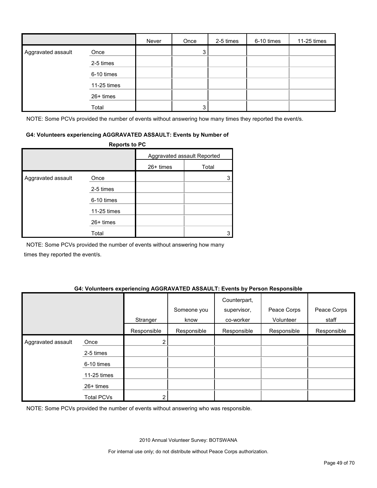|                    |             | Never | Once           | 2-5 times | 6-10 times | 11-25 times |
|--------------------|-------------|-------|----------------|-----------|------------|-------------|
| Aggravated assault | Once        |       | 3              |           |            |             |
|                    | 2-5 times   |       |                |           |            |             |
|                    | 6-10 times  |       |                |           |            |             |
|                    | 11-25 times |       |                |           |            |             |
|                    | 26+ times   |       |                |           |            |             |
|                    | Total       |       | 3 <sub>1</sub> |           |            |             |

NOTE: Some PCVs provided the number of events without answering how many times they reported the event/s.

#### **G4: Volunteers experiencing AGGRAVATED ASSAULT: Events by Number of**

|                    | <b>Reports to PC</b> |                             |       |  |
|--------------------|----------------------|-----------------------------|-------|--|
|                    |                      | Aggravated assault Reported |       |  |
|                    |                      | $26+$ times                 | Total |  |
| Aggravated assault | Once                 |                             |       |  |
|                    | 2-5 times            |                             |       |  |
|                    | 6-10 times           |                             |       |  |
|                    | 11-25 times          |                             |       |  |
|                    | $26+$ times          |                             |       |  |
|                    | Total                |                             |       |  |

NOTE: Some PCVs provided the number of events without answering how many times they reported the event/s.

#### **G4: Volunteers experiencing AGGRAVATED ASSAULT: Events by Person Responsible**

|                    |                   | Stranger       | Someone you<br>know | Counterpart,<br>supervisor,<br>co-worker | Peace Corps<br>Volunteer | Peace Corps<br>staff |
|--------------------|-------------------|----------------|---------------------|------------------------------------------|--------------------------|----------------------|
|                    |                   | Responsible    | Responsible         | Responsible                              | Responsible              | Responsible          |
| Aggravated assault | Once              | 2 <sub>1</sub> |                     |                                          |                          |                      |
|                    | 2-5 times         |                |                     |                                          |                          |                      |
|                    | 6-10 times        |                |                     |                                          |                          |                      |
|                    | 11-25 times       |                |                     |                                          |                          |                      |
|                    | 26+ times         |                |                     |                                          |                          |                      |
|                    | <b>Total PCVs</b> | ◠              |                     |                                          |                          |                      |

NOTE: Some PCVs provided the number of events without answering who was responsible.

2010 Annual Volunteer Survey: BOTSWANA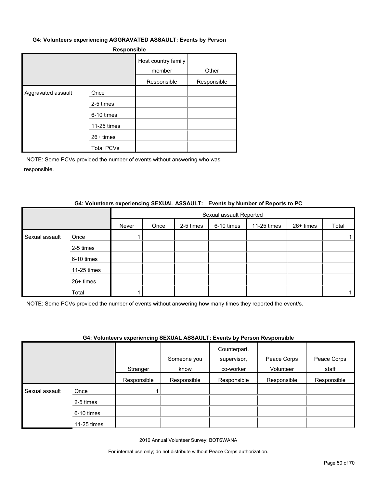#### **G4: Volunteers experiencing AGGRAVATED ASSAULT: Events by Person**

|                    |                   | Host country family<br>member | Other       |
|--------------------|-------------------|-------------------------------|-------------|
|                    |                   | Responsible                   | Responsible |
| Aggravated assault | Once              |                               |             |
|                    | 2-5 times         |                               |             |
|                    | 6-10 times        |                               |             |
|                    | 11-25 times       |                               |             |
|                    | $26+$ times       |                               |             |
|                    | <b>Total PCVs</b> |                               |             |

NOTE: Some PCVs provided the number of events without answering who was responsible.

#### **G4: Volunteers experiencing SEXUAL ASSAULT: Events by Number of Reports to PC**

|                |             |       | Sexual assault Reported |           |            |             |           |       |  |
|----------------|-------------|-------|-------------------------|-----------|------------|-------------|-----------|-------|--|
|                |             | Never | Once                    | 2-5 times | 6-10 times | 11-25 times | 26+ times | Total |  |
| Sexual assault | Once        |       |                         |           |            |             |           |       |  |
|                | 2-5 times   |       |                         |           |            |             |           |       |  |
|                | 6-10 times  |       |                         |           |            |             |           |       |  |
|                | 11-25 times |       |                         |           |            |             |           |       |  |
|                | 26+ times   |       |                         |           |            |             |           |       |  |
|                | Total       |       |                         |           |            |             |           |       |  |

NOTE: Some PCVs provided the number of events without answering how many times they reported the event/s.

#### **G4: Volunteers experiencing SEXUAL ASSAULT: Events by Person Responsible**

|                |             | .           |             | Counterpart, |             |             |
|----------------|-------------|-------------|-------------|--------------|-------------|-------------|
|                |             |             | Someone you | supervisor,  | Peace Corps | Peace Corps |
|                |             | Stranger    | know        | co-worker    | Volunteer   | staff       |
|                |             | Responsible | Responsible | Responsible  | Responsible | Responsible |
| Sexual assault | Once        |             |             |              |             |             |
|                | 2-5 times   |             |             |              |             |             |
|                | 6-10 times  |             |             |              |             |             |
|                | 11-25 times |             |             |              |             |             |

2010 Annual Volunteer Survey: BOTSWANA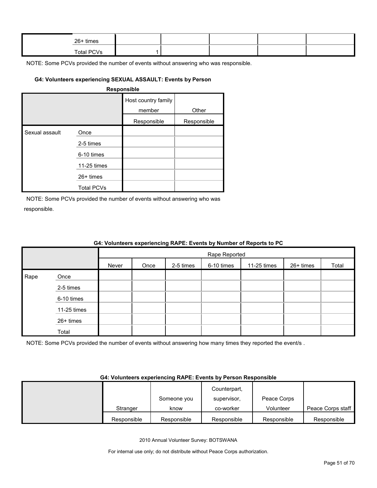| 26+ times  |  |  |  |
|------------|--|--|--|
| Total PCVs |  |  |  |

#### **G4: Volunteers experiencing SEXUAL ASSAULT: Events by Person**

#### **Responsible**

|                |                   | Host country family<br>member | Other       |
|----------------|-------------------|-------------------------------|-------------|
|                |                   | Responsible                   | Responsible |
| Sexual assault | Once              |                               |             |
|                | 2-5 times         |                               |             |
|                | 6-10 times        |                               |             |
|                | 11-25 times       |                               |             |
|                | $26+$ times       |                               |             |
|                | <b>Total PCVs</b> |                               |             |

NOTE: Some PCVs provided the number of events without answering who was responsible.

Total

|      | G4: Volunteers experiencing RAPE: Events by Number of Reports to PC |       |      |           |               |             |           |       |  |
|------|---------------------------------------------------------------------|-------|------|-----------|---------------|-------------|-----------|-------|--|
|      |                                                                     |       |      |           | Rape Reported |             |           |       |  |
|      |                                                                     | Never | Once | 2-5 times | 6-10 times    | 11-25 times | 26+ times | Total |  |
| Rape | Once                                                                |       |      |           |               |             |           |       |  |
|      | 2-5 times                                                           |       |      |           |               |             |           |       |  |
|      | 6-10 times                                                          |       |      |           |               |             |           |       |  |
|      | 11-25 times                                                         |       |      |           |               |             |           |       |  |
|      | $26+$ times                                                         |       |      |           |               |             |           |       |  |

#### **G4: Volunteers experiencing RAPE: Events by Number of Reports to PC**

NOTE: Some PCVs provided the number of events without answering how many times they reported the event/s .

#### **G4: Volunteers experiencing RAPE: Events by Person Responsible**

|             |             | Counterpart, |             |                   |
|-------------|-------------|--------------|-------------|-------------------|
|             | Someone you | supervisor,  | Peace Corps |                   |
| Stranger    | know        | co-worker    | Volunteer   | Peace Corps staff |
| Responsible | Responsible | Responsible  | Responsible | Responsible       |

2010 Annual Volunteer Survey: BOTSWANA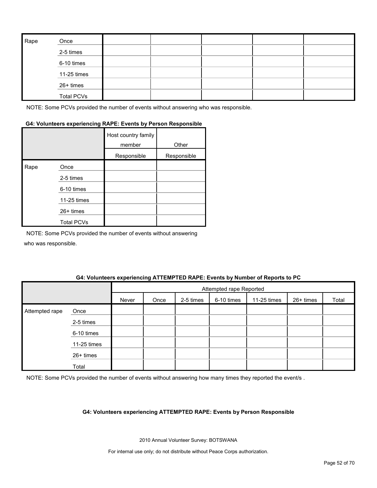| Rape | Once              |  |  |  |
|------|-------------------|--|--|--|
|      | 2-5 times         |  |  |  |
|      | 6-10 times        |  |  |  |
|      | 11-25 times       |  |  |  |
|      | 26+ times         |  |  |  |
|      | <b>Total PCVs</b> |  |  |  |

#### **G4: Volunteers experiencing RAPE: Events by Person Responsible**

|      |                   | Host country family<br>member | Other       |
|------|-------------------|-------------------------------|-------------|
|      |                   | Responsible                   | Responsible |
| Rape | Once              |                               |             |
|      | 2-5 times         |                               |             |
|      | 6-10 times        |                               |             |
|      | 11-25 times       |                               |             |
|      | 26+ times         |                               |             |
|      | <b>Total PCVs</b> |                               |             |

NOTE: Some PCVs provided the number of events without answering who was responsible.

#### **G4: Volunteers experiencing ATTEMPTED RAPE: Events by Number of Reports to PC**

|                |             |       | Attempted rape Reported |           |            |             |           |       |
|----------------|-------------|-------|-------------------------|-----------|------------|-------------|-----------|-------|
|                |             | Never | Once                    | 2-5 times | 6-10 times | 11-25 times | 26+ times | Total |
| Attempted rape | Once        |       |                         |           |            |             |           |       |
|                | 2-5 times   |       |                         |           |            |             |           |       |
|                | 6-10 times  |       |                         |           |            |             |           |       |
|                | 11-25 times |       |                         |           |            |             |           |       |
|                | 26+ times   |       |                         |           |            |             |           |       |
|                | Total       |       |                         |           |            |             |           |       |

NOTE: Some PCVs provided the number of events without answering how many times they reported the event/s .

#### **G4: Volunteers experiencing ATTEMPTED RAPE: Events by Person Responsible**

2010 Annual Volunteer Survey: BOTSWANA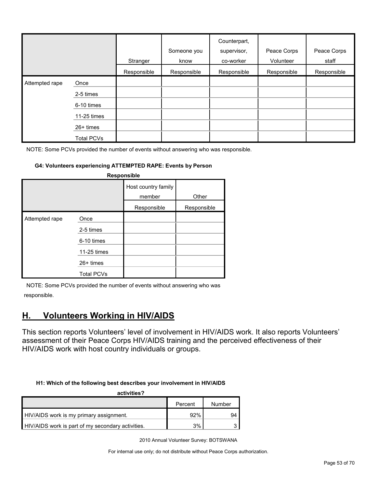|                |                   | Stranger    | Someone you<br>know | Counterpart,<br>supervisor,<br>co-worker | Peace Corps<br>Volunteer | Peace Corps<br>staff |
|----------------|-------------------|-------------|---------------------|------------------------------------------|--------------------------|----------------------|
|                |                   | Responsible | Responsible         | Responsible                              | Responsible              | Responsible          |
| Attempted rape | Once              |             |                     |                                          |                          |                      |
|                | 2-5 times         |             |                     |                                          |                          |                      |
|                | 6-10 times        |             |                     |                                          |                          |                      |
|                | 11-25 times       |             |                     |                                          |                          |                      |
|                | $26+$ times       |             |                     |                                          |                          |                      |
|                | <b>Total PCVs</b> |             |                     |                                          |                          |                      |

#### **G4: Volunteers experiencing ATTEMPTED RAPE: Events by Person**

| <b>Responsible</b> |                                                |                               |             |  |  |  |  |  |
|--------------------|------------------------------------------------|-------------------------------|-------------|--|--|--|--|--|
|                    |                                                | Host country family<br>member | Other       |  |  |  |  |  |
|                    |                                                | Responsible                   | Responsible |  |  |  |  |  |
| Attempted rape     | Once<br>2-5 times<br>6-10 times<br>11-25 times |                               |             |  |  |  |  |  |
|                    | $26+$ times<br><b>Total PCVs</b>               |                               |             |  |  |  |  |  |

NOTE: Some PCVs provided the number of events without answering who was responsible.

### <span id="page-52-0"></span>**H. Volunteers Working in HIV/AIDS**

This section reports Volunteers' level of involvement in HIV/AIDS work. It also reports Volunteers' assessment of their Peace Corps HIV/AIDS training and the perceived effectiveness of their HIV/AIDS work with host country individuals or groups.

#### **H1: Which of the following best describes your involvement in HIV/AIDS**

| activities?                                       |         |        |
|---------------------------------------------------|---------|--------|
|                                                   | Percent | Number |
| HIV/AIDS work is my primary assignment.           | 92%     | 94     |
| HIV/AIDS work is part of my secondary activities. | 3%      |        |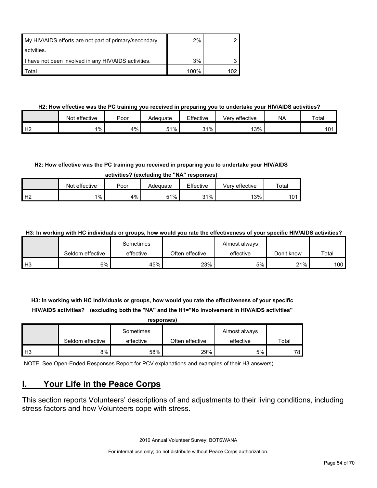| My HIV/AIDS efforts are not part of primary/secondary | $2\%$ |  |
|-------------------------------------------------------|-------|--|
| actvities.                                            |       |  |
| I have not been involved in any HIV/AIDS activities.  | 3%    |  |
| ⊤otal                                                 | 100%  |  |

#### **H2: How effective was the PC training you received in preparing you to undertake your HIV/AIDS activities?**

|                | Not effective | Poor | Adequate | Effective  | Very effective | <b>NA</b> | Total        |
|----------------|---------------|------|----------|------------|----------------|-----------|--------------|
| H <sub>2</sub> | $1\%$         | 4%   | 51%      | 31%<br>ا ت | 13%            |           | 1 O 1<br>. v |

#### **H2: How effective was the PC training you received in preparing you to undertake your HIV/AIDS**

**activities? (excluding the "NA" responses)**

|                | Not effective | Poor | Adequate | Effective | effective<br>√erv | Total |
|----------------|---------------|------|----------|-----------|-------------------|-------|
| H <sub>2</sub> | $1\%$         | 4%   | 51%      | 31%       | 13%               | 101   |

**H3: In working with HC individuals or groups, how would you rate the effectiveness of your specific HIV/AIDS activities?** 

|                |                  | Sometimes |                 | Almost always |            |       |
|----------------|------------------|-----------|-----------------|---------------|------------|-------|
|                | Seldom effective | effective | Often effective | effective     | Don't know | Total |
| H <sub>3</sub> | 6%               | 45%       | 23%             | 5%            | 21%        | 100.  |

**H3: In working with HC individuals or groups, how would you rate the effectiveness of your specific HIV/AIDS activities? (excluding both the "NA" and the H1="No involvement in HIV/AIDS activities" responses)**

| responses) |                  |           |                 |               |       |  |  |  |  |
|------------|------------------|-----------|-----------------|---------------|-------|--|--|--|--|
|            |                  | Sometimes |                 | Almost always |       |  |  |  |  |
|            | Seldom effective | effective | Often effective | effective     | Total |  |  |  |  |
| H3         | 8%               | 58%       | 29%             | 5%            | 78.   |  |  |  |  |

NOTE: See Open-Ended Responses Report for PCV explanations and examples of their H3 answers)

### <span id="page-53-0"></span>**I. Your Life in the Peace Corps**

This section reports Volunteers' descriptions of and adjustments to their living conditions, including stress factors and how Volunteers cope with stress.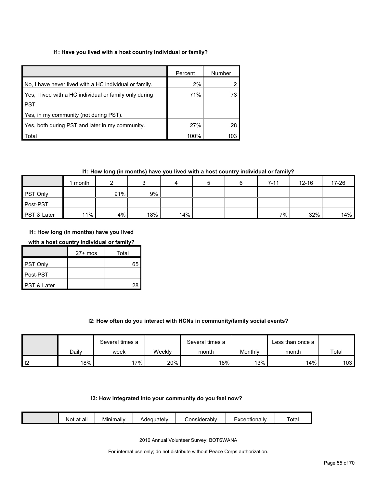#### **I1: Have you lived with a host country individual or family?**

|                                                         | Percent | Number |
|---------------------------------------------------------|---------|--------|
| No. I have never lived with a HC individual or family.  | 2%      |        |
| Yes, I lived with a HC individual or family only during | 71%     | 73     |
| PST.                                                    |         |        |
| Yes, in my community (not during PST).                  |         |        |
| Yes, both during PST and later in my community.         | 27%     | 28     |
| Total                                                   | 100%    |        |

#### **I1: How long (in months) have you lived with a host country individual or family?**

|                 | month  |     |     |     | 5 | $7 - 11$ | 12-16 | 17-26 |
|-----------------|--------|-----|-----|-----|---|----------|-------|-------|
| <b>PST Only</b> |        | 91% | 9%  |     |   |          |       |       |
| Post-PST        |        |     |     |     |   |          |       |       |
| PST & Later     | $11\%$ | 4%  | 18% | 14% |   | 7%       | 32%   | 14%   |

**I1: How long (in months) have you lived** 

#### **with a host country individual or family?**

|             | $27+$ mos | Total |
|-------------|-----------|-------|
| PST Only    |           | 65    |
| Post-PST    |           |       |
| PST & Later |           | 28    |

#### **I2: How often do you interact with HCNs in community/family social events?**

|    |       | Several times a |        | Several times a |         | Less than once a |       |
|----|-------|-----------------|--------|-----------------|---------|------------------|-------|
|    | Dailv | week            | Weeklv | month           | Monthly | month            | Total |
| -- | 18%   | 17%             | 20%    | 18%             | 13%     | 14%              | 103   |

#### **I3: How integrated into your community do you feel now?**

|  |  | all<br>n+<br>ΝΟί<br>aı | <br>Minimally | equately | ≿onsiderablv | ≞xceptionall\ | ' ota |
|--|--|------------------------|---------------|----------|--------------|---------------|-------|
|--|--|------------------------|---------------|----------|--------------|---------------|-------|

2010 Annual Volunteer Survey: BOTSWANA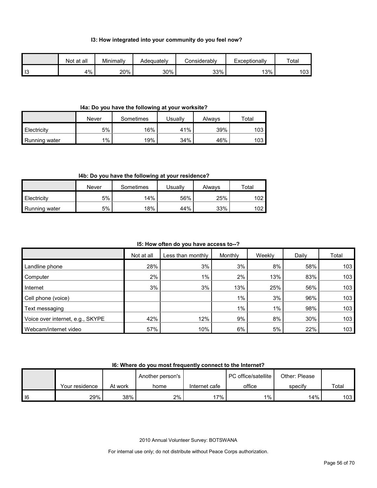#### **I3: How integrated into your community do you feel now?**

|      | Not at all | Minimally | Adeauatelv | Considerablv | Exceptionally | Total |
|------|------------|-----------|------------|--------------|---------------|-------|
| l I3 | 4%         | 20%       | 30%        | 33%          | 13%           | 103   |

#### **I4a: Do you have the following at your worksite?**

|               | Never | Sometimes | <b>Jsually</b> | Always | $\tau$ otal |
|---------------|-------|-----------|----------------|--------|-------------|
| Electricity   | 5%    | 16%       | 41%            | 39%    | 103         |
| Running water | $1\%$ | 19%       | 34%            | 46%    | 103         |

#### **I4b: Do you have the following at your residence?**

|               | Never | Sometimes | Jsuallv | Always | $\tau$ otal |
|---------------|-------|-----------|---------|--------|-------------|
| Electricity   | 5%    | 14%       | 56%     | 25%    | 102         |
| Running water | 5%    | 18%       | 44%     | 33%    | 102         |

#### **I5: How often do you have access to--?**

|                                  | Not at all | Less than monthly | Monthly | Weekly | Daily | Total |
|----------------------------------|------------|-------------------|---------|--------|-------|-------|
| Landline phone                   | 28%        | 3%                | 3%      | 8%     | 58%   | 103   |
| Computer                         | 2%         | $1\%$             | 2%      | 13%    | 83%   | 103   |
| Internet                         | 3%         | 3%                | 13%     | 25%    | 56%   | 103   |
| Cell phone (voice)               |            |                   | $1\%$   | 3%     | 96%   | 103   |
| Text messaging                   |            |                   | $1\%$   | 1%     | 98%   | 103   |
| Voice over internet, e.g., SKYPE | 42%        | 12%               | 9%      | 8%     | 30%   | 103   |
| Webcam/internet video            | 57%        | 10%               | 6%      | 5%     | 22%   | 103   |

#### **I6: Where do you most frequently connect to the Internet?**

|        |                |         | Another person's |               | <b>PC</b> office/satellite | Other: Please |       |
|--------|----------------|---------|------------------|---------------|----------------------------|---------------|-------|
|        | Your residence | At work | home             | Internet cafe | office                     | specify       | Total |
| $ $ 16 | 29%            | 38%     | 2%               | 17%           | $1\%$                      | 14%           | 103 I |

2010 Annual Volunteer Survey: BOTSWANA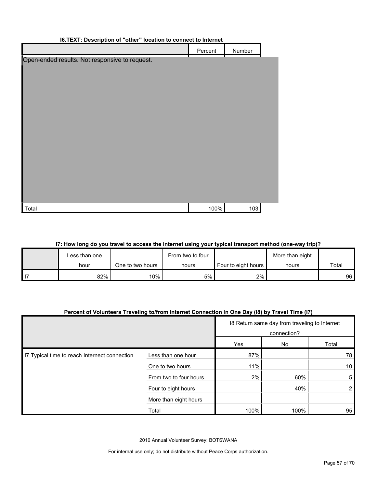| <b>I6.TEXT: Description of "other" location to connect to Internet</b> |         |        |  |
|------------------------------------------------------------------------|---------|--------|--|
|                                                                        | Percent | Number |  |
| Open-ended results. Not responsive to request.                         |         |        |  |
|                                                                        |         |        |  |
|                                                                        |         |        |  |
|                                                                        |         |        |  |
|                                                                        |         |        |  |
|                                                                        |         |        |  |
|                                                                        |         |        |  |
|                                                                        |         |        |  |
|                                                                        |         |        |  |
|                                                                        |         |        |  |
|                                                                        |         |        |  |
|                                                                        |         |        |  |
|                                                                        |         |        |  |
| Total                                                                  | 100%    | 103    |  |
|                                                                        |         |        |  |

#### **I7: How long do you travel to access the internet using your typical transport method (one-way trip)?**

|      | Less than one |                  | From two to four |                       | More than eight |       |
|------|---------------|------------------|------------------|-----------------------|-----------------|-------|
|      | hour          | One to two hours | hours            | Four to eight hours I | hours           | Total |
| l 17 | $82\%$        | 10%              | 5%               | 2%                    |                 | 96    |

#### **Percent of Volunteers Traveling to/from Internet Connection in One Day (I8) by Travel Time (I7)**

|                                               |                        |      | 18 Return same day from traveling to Internet<br>connection? |                 |
|-----------------------------------------------|------------------------|------|--------------------------------------------------------------|-----------------|
|                                               | Yes                    |      |                                                              | Total           |
| I7 Typical time to reach Internect connection | Less than one hour     | 87%  | No                                                           | 78              |
|                                               | One to two hours       | 11%  |                                                              | 10 <sup>°</sup> |
|                                               | From two to four hours | 2%   | 60%                                                          | 5               |
|                                               | Four to eight hours    |      | 40%                                                          | 2               |
|                                               | More than eight hours  |      |                                                              |                 |
|                                               | Total                  | 100% | 100%                                                         | 95              |

2010 Annual Volunteer Survey: BOTSWANA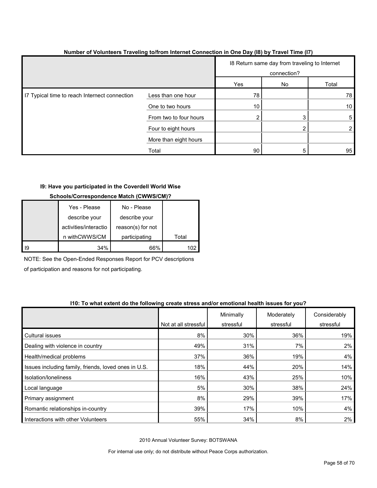|                                               |                        |     | 18 Return same day from traveling to Internet<br>connection? |                 |
|-----------------------------------------------|------------------------|-----|--------------------------------------------------------------|-----------------|
|                                               |                        | Yes | No                                                           | Total           |
| I7 Typical time to reach Internect connection | Less than one hour     | 78  |                                                              | 78              |
|                                               | One to two hours       | 10  |                                                              | 10 <sup>1</sup> |
|                                               | From two to four hours |     |                                                              | 5               |
|                                               | Four to eight hours    |     |                                                              | 2 <sub>l</sub>  |
|                                               | More than eight hours  |     |                                                              |                 |
|                                               | Total                  | 90  |                                                              | 95              |

#### **Number of Volunteers Traveling to/from Internet Connection in One Day (I8) by Travel Time (I7)**

#### **I9: Have you participated in the Coverdell World Wise**

#### **Schools/Correspondence Match (CWWS/CM)?**

|    | Yes - Please          | No - Please       |       |
|----|-----------------------|-------------------|-------|
|    | describe your         | describe your     |       |
|    | activities/interactio | reason(s) for not |       |
|    | n withCWWS/CM         | participating     | Total |
| 19 | 34%                   | 66%               |       |

NOTE: See the Open-Ended Responses Report for PCV descriptions

of participation and reasons for not participating.

#### **I10: To what extent do the following create stress and/or emotional health issues for you?**

|                                                      |                      | Minimally | Moderately | Considerably |
|------------------------------------------------------|----------------------|-----------|------------|--------------|
|                                                      | Not at all stressful | stressful | stressful  | stressful    |
| <b>Cultural issues</b>                               | 8%                   | 30%       | 36%        | 19%          |
| Dealing with violence in country                     | 49%                  | 31%       | 7%         | $2\%$        |
| Health/medical problems                              | 37%                  | 36%       | 19%        | 4%           |
| Issues including family, friends, loved ones in U.S. | 18%                  | 44%       | 20%        | 14%          |
| Isolation/Ioneliness                                 | 16%                  | 43%       | 25%        | 10%          |
| Local language                                       | 5%                   | 30%       | 38%        | 24%          |
| Primary assignment                                   | 8%                   | 29%       | 39%        | 17%          |
| Romantic relationships in-country                    | 39%                  | 17%       | 10%        | 4%           |
| Interactions with other Volunteers                   | 55%                  | 34%       | 8%         | $2\%$        |

2010 Annual Volunteer Survey: BOTSWANA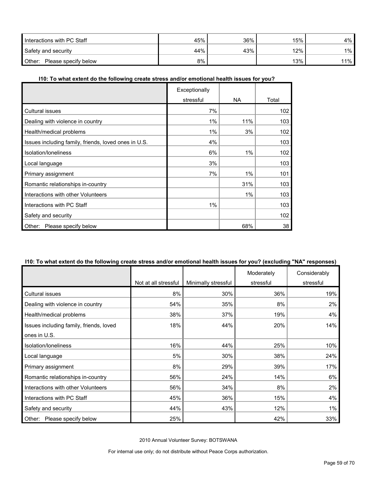| Interactions with PC Staff     | 45% | 36% | 15%    | 4%  |
|--------------------------------|-----|-----|--------|-----|
| Safety and security            | 44% | 43% | $12\%$ | 1%  |
| Other:<br>Please specify below | 8%  |     | 13%    | 11% |

#### **I10: To what extent do the following create stress and/or emotional health issues for you?**

|                                                      | Exceptionally |       |       |
|------------------------------------------------------|---------------|-------|-------|
|                                                      | stressful     | NA.   | Total |
| Cultural issues                                      | 7%            |       | 102   |
| Dealing with violence in country                     | $1\%$         | 11%   | 103   |
| Health/medical problems                              | 1%            | 3%    | 102   |
| Issues including family, friends, loved ones in U.S. | 4%            |       | 103   |
| Isolation/loneliness                                 | 6%            | 1%    | 102   |
| Local language                                       | 3%            |       | 103   |
| Primary assignment                                   | 7%            | 1%    | 101   |
| Romantic relationships in-country                    |               | 31%   | 103   |
| Interactions with other Volunteers                   |               | $1\%$ | 103   |
| Interactions with PC Staff                           | $1\%$         |       | 103   |
| Safety and security                                  |               |       | 102   |
| Other:<br>Please specify below                       |               | 68%   | 38    |

### **I10: To what extent do the following create stress and/or emotional health issues for you? (excluding "NA" responses)**

|                                         |                      |                     | Moderately | Considerably |
|-----------------------------------------|----------------------|---------------------|------------|--------------|
|                                         | Not at all stressful | Minimally stressful | stressful  | stressful    |
| Cultural issues                         | 8%                   | 30%                 | 36%        | 19%          |
| Dealing with violence in country        | 54%                  | 35%                 | 8%         | 2%           |
| Health/medical problems                 | 38%                  | 37%                 | 19%        | 4%           |
| Issues including family, friends, loved | 18%                  | 44%                 | 20%        | 14%          |
| ones in U.S.                            |                      |                     |            |              |
| Isolation/Ioneliness                    | 16%                  | 44%                 | 25%        | 10%          |
| Local language                          | 5%                   | 30%                 | 38%        | 24%          |
| Primary assignment                      | 8%                   | 29%                 | 39%        | 17%          |
| Romantic relationships in-country       | 56%                  | 24%                 | 14%        | 6%           |
| Interactions with other Volunteers      | 56%                  | 34%                 | 8%         | 2%           |
| Interactions with PC Staff              | 45%                  | 36%                 | 15%        | 4%           |
| Safety and security                     | 44%                  | 43%                 | 12%        | $1\%$        |
| Please specify below<br>Other:          | 25%                  |                     | 42%        | 33%          |

2010 Annual Volunteer Survey: BOTSWANA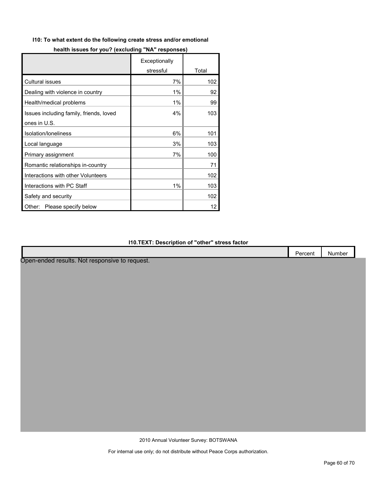#### **I10: To what extent do the following create stress and/or emotional**

|                                         | Exceptionally |       |
|-----------------------------------------|---------------|-------|
|                                         | stressful     | Total |
| Cultural issues                         | 7%            | 102   |
| Dealing with violence in country        | 1%            | 92    |
| Health/medical problems                 | 1%            | 99    |
| Issues including family, friends, loved | 4%            | 103   |
| ones in U.S.                            |               |       |
| Isolation/loneliness                    | 6%            | 101   |
| Local language                          | 3%            | 103   |
| Primary assignment                      | 7%            | 100   |
| Romantic relationships in-country       |               | 71    |
| Interactions with other Volunteers      |               | 102   |
| Interactions with PC Staff              | 1%            | 103   |
| Safety and security                     |               | 102   |
| Please specify below<br>Other:          |               | 12    |

#### **I10.TEXT: Description of "other" stress factor**

|                                                | Percent | Number |
|------------------------------------------------|---------|--------|
| Open-ended results. Not responsive to request. |         |        |
|                                                |         |        |
|                                                |         |        |
|                                                |         |        |
|                                                |         |        |
|                                                |         |        |
|                                                |         |        |
|                                                |         |        |
|                                                |         |        |
|                                                |         |        |
|                                                |         |        |
|                                                |         |        |
|                                                |         |        |
|                                                |         |        |
|                                                |         |        |

2010 Annual Volunteer Survey: BOTSWANA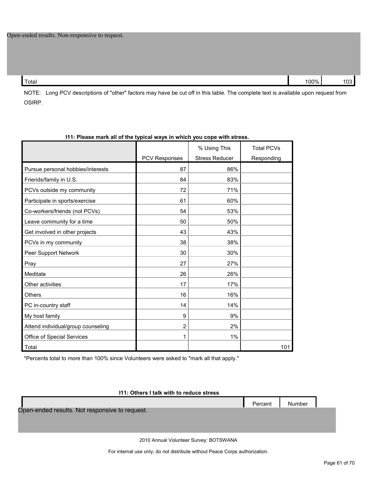Total 100% 103

NOTE: Long PCV descriptions of "other" factors may have be cut off in this table. The complete text is available upon request from OSIRP.

| TTI. Ficase mark all UI the typical ways in which you cope with stress. |                      |                                       |                                 |
|-------------------------------------------------------------------------|----------------------|---------------------------------------|---------------------------------|
|                                                                         | <b>PCV Responses</b> | % Using This<br><b>Stress Reducer</b> | <b>Total PCVs</b><br>Responding |
| Pursue personal hobbies/interests                                       | 87                   | 86%                                   |                                 |
| Friends/family in U.S.                                                  | 84                   | 83%                                   |                                 |
| PCVs outside my community                                               | 72                   | 71%                                   |                                 |
| Participate in sports/exercise                                          | 61                   | 60%                                   |                                 |
| Co-workers/friends (not PCVs)                                           | 54                   | 53%                                   |                                 |
| Leave community for a time                                              | 50                   | 50%                                   |                                 |
| Get involved in other projects                                          | 43                   | 43%                                   |                                 |
| PCVs in my community                                                    | 38                   | 38%                                   |                                 |
| Peer Support Network                                                    | 30                   | 30%                                   |                                 |
| Pray                                                                    | 27                   | 27%                                   |                                 |
| Meditate                                                                | 26                   | 26%                                   |                                 |
| Other activities                                                        | 17                   | 17%                                   |                                 |
| Others                                                                  | 16                   | 16%                                   |                                 |
| PC in-country staff                                                     | 14                   | 14%                                   |                                 |
| My host family                                                          | 9                    | 9%                                    |                                 |
| Attend individual/group counseling                                      | $\overline{2}$       | 2%                                    |                                 |
| Office of Special Services                                              | 1                    | 1%                                    |                                 |
| Total                                                                   |                      |                                       | 101                             |

#### **I11: Please mark all of the typical ways in which you cope with stress.**

\*Percents total to more than 100% since Volunteers were asked to "mark all that apply."

#### **I11: Others I talk with to reduce stress**

Percent Number Open-ended results. Not responsive to request.

2010 Annual Volunteer Survey: BOTSWANA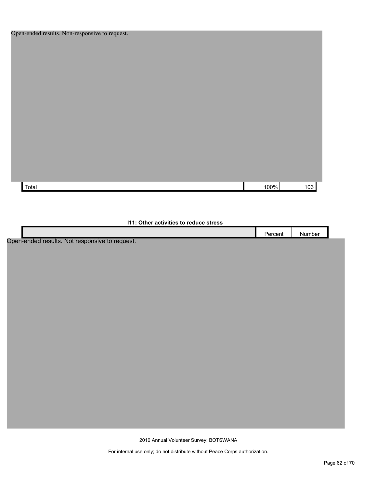| pen-enucu resuns. rvon-responsive to request. |  |      |     |
|-----------------------------------------------|--|------|-----|
|                                               |  |      |     |
|                                               |  |      |     |
|                                               |  |      |     |
|                                               |  |      |     |
|                                               |  |      |     |
|                                               |  |      |     |
|                                               |  |      |     |
|                                               |  |      |     |
|                                               |  |      |     |
|                                               |  |      |     |
|                                               |  |      |     |
|                                               |  |      |     |
|                                               |  |      |     |
|                                               |  |      |     |
|                                               |  |      |     |
|                                               |  |      |     |
| Total                                         |  | 100% | 103 |
|                                               |  |      |     |

#### **I11: Other activities to reduce stress**

|                                                     | ercent | Number |  |
|-----------------------------------------------------|--------|--------|--|
| ملابيممع لمماموه ومموا<br>Naturanongiya ta yagu sat |        |        |  |

Open-ended results. Not responsive to request.

2010 Annual Volunteer Survey: BOTSWANA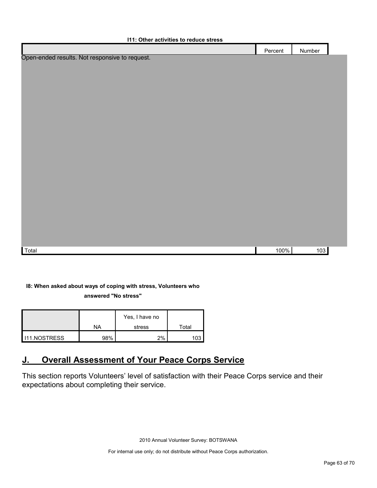| <b>111: Other activities to reduce stress</b>  |         |        |  |
|------------------------------------------------|---------|--------|--|
|                                                | Percent | Number |  |
| Open-ended results. Not responsive to request. |         |        |  |
|                                                |         |        |  |
|                                                |         |        |  |
|                                                |         |        |  |
|                                                |         |        |  |
|                                                |         |        |  |
|                                                |         |        |  |
|                                                |         |        |  |
|                                                |         |        |  |
|                                                |         |        |  |
|                                                |         |        |  |
|                                                |         |        |  |
|                                                |         |        |  |
|                                                |         |        |  |
|                                                |         |        |  |
|                                                |         |        |  |
|                                                |         |        |  |
|                                                |         |        |  |
| Total                                          | 100%    | 103    |  |
|                                                |         |        |  |

### **I8: When asked about ways of coping with stress, Volunteers who**

**answered "No stress"** 

|              |     | Yes, I have no |       |
|--------------|-----|----------------|-------|
|              | NA  | stress         | Total |
| 111.NOSTRESS | 98% | 2%             |       |

# <span id="page-62-0"></span>**J. Overall Assessment of Your Peace Corps Service**

This section reports Volunteers' level of satisfaction with their Peace Corps service and their expectations about completing their service.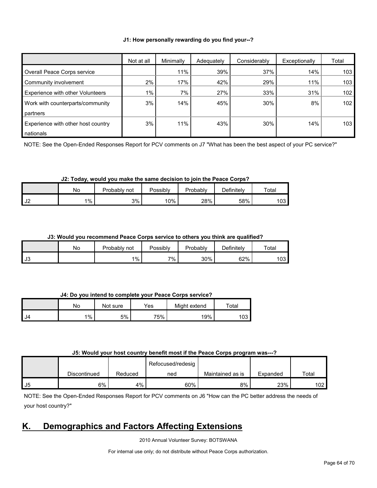#### **J1: How personally rewarding do you find your--?**

|                                    | Not at all | Minimally | Adequately | Considerably | Exceptionally | Total |
|------------------------------------|------------|-----------|------------|--------------|---------------|-------|
| Overall Peace Corps service        |            | 11%       | 39%        | 37%          | 14%           | 103   |
| Community involvement              | 2%         | 17%       | 42%        | 29%          | 11%           | 103   |
| Experience with other Volunteers   | $1\%$      | 7%        | 27%        | 33%          | 31%           | 102   |
| Work with counterparts/community   | 3%         | 14%       | 45%        | 30%          | 8%            | 102   |
| partners                           |            |           |            |              |               |       |
| Experience with other host country | 3%         | 11%       | 43%        | 30%          | 14%           | 103   |
| nationals                          |            |           |            |              |               |       |

NOTE: See the Open-Ended Responses Report for PCV comments on J7 "What has been the best aspect of your PC service?"

#### **J2: Today, would you make the same decision to join the Peace Corps?**

|                                   | NΟ    | Probably.<br>not | Possibly | Probably | $\Delta$ efinitelv | Total |
|-----------------------------------|-------|------------------|----------|----------|--------------------|-------|
| $\overline{\phantom{a}}$<br>ے ں ∎ | $1\%$ | 3%               | 10%      | 28%      | 58%                | 103   |

#### **J3: Would you recommend Peace Corps service to others you think are qualified?**

|                          | No | Probably i<br>not | Possibly | Probably | Definitely | Total |
|--------------------------|----|-------------------|----------|----------|------------|-------|
| $\overline{12}$<br>- ს ა |    | $1\%$             | 7%       | 30%      | 62%        | 103   |

#### **J4: Do you intend to complete your Peace Corps service?**

|      | No    | Not sure | Yes | Might extend | $\tau$ otal |
|------|-------|----------|-----|--------------|-------------|
| I J4 | $1\%$ | 5%       | 75% | 19%          | 103         |

#### **J5: Would your host country benefit most if the Peace Corps program was---?**

|     |              |         | Refocused/redesig |                  |          |       |
|-----|--------------|---------|-------------------|------------------|----------|-------|
|     | Discontinued | Reduced | ned               | Maintained as is | Expanded | Total |
| -J5 | 6%           | 4%      | 60%               | 8%               | 23%      | 102   |

NOTE: See the Open-Ended Responses Report for PCV comments on J6 "How can the PC better address the needs of your host country?"

### <span id="page-63-0"></span>**K. Demographics and Factors Affecting Extensions**

2010 Annual Volunteer Survey: BOTSWANA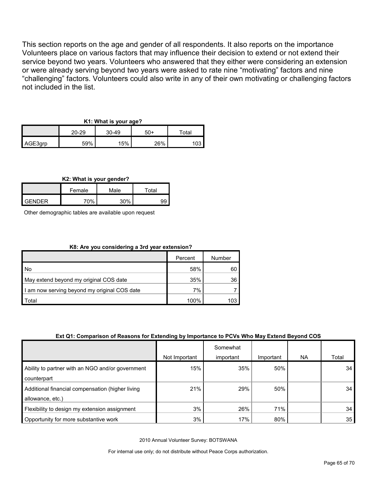This section reports on the age and gender of all respondents. It also reports on the importance Volunteers place on various factors that may influence their decision to extend or not extend their service beyond two years. Volunteers who answered that they either were considering an extension or were already serving beyond two years were asked to rate nine "motivating" factors and nine "challenging" factors. Volunteers could also write in any of their own motivating or challenging factors not included in the list.

#### **K1: What is your age?**

|         | 20-29<br>$30-49$ |     | 50+ | $\tau$ otal |  |
|---------|------------------|-----|-----|-------------|--|
| AGE3qrp | 59%              | 15% | 26% | 03          |  |

**K2: What is your gender?**

|               | Female | Male | $\tau$ otal |  |
|---------------|--------|------|-------------|--|
| <b>GENDER</b> | 70%    | 30%  |             |  |

Other demographic tables are available upon request

#### **K8: Are you considering a 3rd year extension?**

|                                              | Percent | Number |
|----------------------------------------------|---------|--------|
| l No                                         | 58%     | 60     |
| May extend beyond my original COS date       | 35%     | 36     |
| I am now serving beyond my original COS date | 7%      |        |
| Total                                        | 100%    | 103    |

#### **Ext Q1: Comparison of Reasons for Extending by Importance to PCVs Who May Extend Beyond COS**

|                                                  |               | Somewhat  |           |     |       |
|--------------------------------------------------|---------------|-----------|-----------|-----|-------|
|                                                  | Not Important | important | Important | NA. | Total |
| Ability to partner with an NGO and/or government | 15%           | 35%       | 50%       |     | 34    |
| counterpart                                      |               |           |           |     |       |
| Additional financial compensation (higher living | 21%           | 29%       | 50%       |     | 34    |
| allowance, etc.)                                 |               |           |           |     |       |
| Flexibility to design my extension assignment    | 3%            | 26%       | 71%       |     | 34    |
| Opportunity for more substantive work            | 3%            | 17%       | 80%       |     | 35    |

2010 Annual Volunteer Survey: BOTSWANA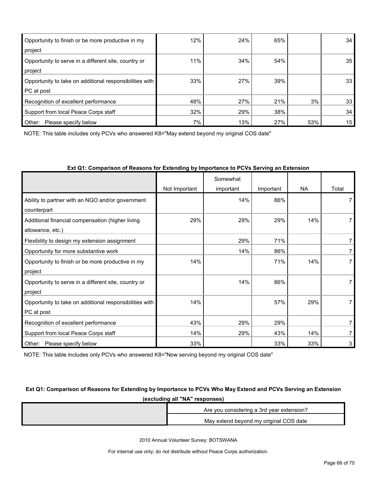| Opportunity to finish or be more productive in my<br>project          | 12% | 24% | 65% |     | 34 |
|-----------------------------------------------------------------------|-----|-----|-----|-----|----|
| Opportunity to serve in a different site, country or<br>project       | 11% | 34% | 54% |     | 35 |
| Opportunity to take on additional responsibilities with<br>PC at post | 33% | 27% | 39% |     | 33 |
| Recognition of excellent performance                                  | 48% | 27% | 21% | 3%  | 33 |
| Support from local Peace Corps staff                                  | 32% | 29% | 38% |     | 34 |
| Other:<br>Please specify below                                        | 7%  | 13% | 27% | 53% | 15 |

NOTE: This table includes only PCVs who answered K8="May extend beyond my original COS date"

|                                                         |               | Somewhat  |           |           |       |
|---------------------------------------------------------|---------------|-----------|-----------|-----------|-------|
|                                                         | Not Important | important | Important | <b>NA</b> | Total |
| Ability to partner with an NGO and/or government        |               | 14%       | 86%       |           |       |
| counterpart                                             |               |           |           |           |       |
| Additional financial compensation (higher living        | 29%           | 29%       | 29%       | 14%       |       |
| allowance, etc.)                                        |               |           |           |           |       |
| Flexibility to design my extension assignment           |               | 29%       | 71%       |           |       |
| Opportunity for more substantive work                   |               | 14%       | 86%       |           |       |
| Opportunity to finish or be more productive in my       | 14%           |           | 71%       | 14%       |       |
| project                                                 |               |           |           |           |       |
| Opportunity to serve in a different site, country or    |               | 14%       | 86%       |           |       |
| project                                                 |               |           |           |           |       |
| Opportunity to take on additional responsibilities with | 14%           |           | 57%       | 29%       |       |
| PC at post                                              |               |           |           |           |       |
| Recognition of excellent performance                    | 43%           | 29%       | 29%       |           |       |
| Support from local Peace Corps staff                    | 14%           | 29%       | 43%       | 14%       |       |
| Please specify below<br>Other:                          | 33%           |           | 33%       | 33%       | 3     |

#### **Ext Q1: Comparison of Reasons for Extending by Importance to PCVs Serving an Extension**

NOTE: This table includes only PCVs who answered K8="Now serving beyond my original COS date"

### **Ext Q1: Comparison of Reasons for Extending by Importance to PCVs Who May Extend and PCVs Serving an Extension (excluding all "NA" responses)**

| Are you considering a 3rd year extension? |
|-------------------------------------------|
| May extend beyond my original COS date    |

2010 Annual Volunteer Survey: BOTSWANA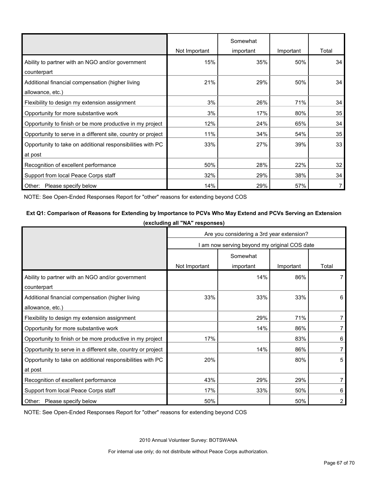|                                                              |               | Somewhat  |           |       |
|--------------------------------------------------------------|---------------|-----------|-----------|-------|
|                                                              | Not Important | important | Important | Total |
| Ability to partner with an NGO and/or government             | 15%           | 35%       | 50%       | 34    |
| counterpart                                                  |               |           |           |       |
| Additional financial compensation (higher living             | 21%           | 29%       | 50%       | 34    |
| allowance, etc.)                                             |               |           |           |       |
| Flexibility to design my extension assignment                | 3%            | 26%       | 71%       | 34    |
| Opportunity for more substantive work                        | 3%            | 17%       | 80%       | 35    |
| Opportunity to finish or be more productive in my project    | 12%           | 24%       | 65%       | 34    |
| Opportunity to serve in a different site, country or project | 11%           | 34%       | 54%       | 35    |
| Opportunity to take on additional responsibilities with PC   | 33%           | 27%       | 39%       | 33    |
| at post                                                      |               |           |           |       |
| Recognition of excellent performance                         | 50%           | 28%       | 22%       | 32    |
| Support from local Peace Corps staff                         | 32%           | 29%       | 38%       | 34    |
| Other: Please specify below                                  | 14%           | 29%       | 57%       |       |

NOTE: See Open-Ended Responses Report for "other" reasons for extending beyond COS

### **Ext Q1: Comparison of Reasons for Extending by Importance to PCVs Who May Extend and PCVs Serving an Extension (excluding all "NA" responses)**

|                                                              | Are you considering a 3rd year extension?    |           |           |       |  |  |  |
|--------------------------------------------------------------|----------------------------------------------|-----------|-----------|-------|--|--|--|
|                                                              | I am now serving beyond my original COS date |           |           |       |  |  |  |
|                                                              | Somewhat                                     |           |           |       |  |  |  |
|                                                              | Not Important                                | important | Important | Total |  |  |  |
| Ability to partner with an NGO and/or government             |                                              | 14%       | 86%       |       |  |  |  |
| counterpart                                                  |                                              |           |           |       |  |  |  |
| Additional financial compensation (higher living             | 33%                                          | 33%       | 33%       | 6     |  |  |  |
| allowance, etc.)                                             |                                              |           |           |       |  |  |  |
| Flexibility to design my extension assignment                |                                              | 29%       | 71%       | 7     |  |  |  |
| Opportunity for more substantive work                        |                                              | 14%       | 86%       |       |  |  |  |
| Opportunity to finish or be more productive in my project    | 17%                                          |           | 83%       | 6     |  |  |  |
| Opportunity to serve in a different site, country or project |                                              | 14%       | 86%       | 7     |  |  |  |
| Opportunity to take on additional responsibilities with PC   | 20%                                          |           | 80%       | 5     |  |  |  |
| at post                                                      |                                              |           |           |       |  |  |  |
| Recognition of excellent performance                         | 43%                                          | 29%       | 29%       |       |  |  |  |
| Support from local Peace Corps staff                         | 17%                                          | 33%       | 50%       | 6     |  |  |  |
| Other: Please specify below                                  | 50%                                          | 50%       |           |       |  |  |  |

NOTE: See Open-Ended Responses Report for "other" reasons for extending beyond COS

2010 Annual Volunteer Survey: BOTSWANA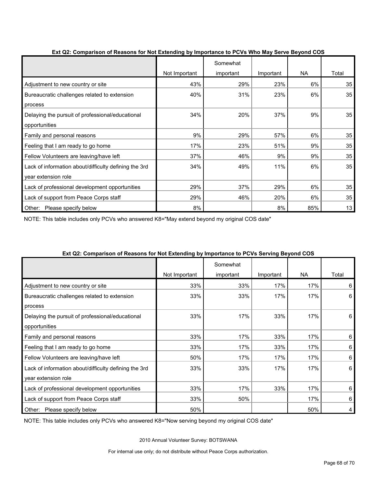|                                                       | -דיי-ד        | Somewhat  |           |     |       |
|-------------------------------------------------------|---------------|-----------|-----------|-----|-------|
|                                                       | Not Important | important | Important | NA  | Total |
| Adjustment to new country or site                     | 43%           | 29%       | 23%       | 6%  | 35    |
| Bureaucratic challenges related to extension          | 40%           | 31%       | 23%       | 6%  | 35    |
| process                                               |               |           |           |     |       |
| Delaying the pursuit of professional/educational      | 34%           | 20%       | 37%       | 9%  | 35    |
| opportunities                                         |               |           |           |     |       |
| Family and personal reasons                           | 9%            | 29%       | 57%       | 6%  | 35    |
| Feeling that I am ready to go home                    | 17%           | 23%       | 51%       | 9%  | 35    |
| Fellow Volunteers are leaving/have left               | 37%           | 46%       | 9%        | 9%  | 35    |
| Lack of information about/difficulty defining the 3rd | 34%           | 49%       | 11%       | 6%  | 35    |
| year extension role                                   |               |           |           |     |       |
| Lack of professional development opportunities        | 29%           | 37%       | 29%       | 6%  | 35    |
| Lack of support from Peace Corps staff                | 29%           | 46%       | 20%       | 6%  | 35    |
| Other:<br>Please specify below                        | 8%            |           | 8%        | 85% | 13    |

#### **Ext Q2: Comparison of Reasons for Not Extending by Importance to PCVs Who May Serve Beyond COS**

NOTE: This table includes only PCVs who answered K8="May extend beyond my original COS date"

|                                                       | .<br>Not Important | Somewhat<br>important | Important | <b>NA</b> | Total |
|-------------------------------------------------------|--------------------|-----------------------|-----------|-----------|-------|
| Adjustment to new country or site                     | 33%                | 33%                   | 17%       | 17%       | 6     |
| Bureaucratic challenges related to extension          | 33%                | 33%                   | 17%       | 17%       | 6     |
| process                                               |                    |                       |           |           |       |
| Delaying the pursuit of professional/educational      | 33%                | 17%                   | 33%       | 17%       | 6     |
| opportunities                                         |                    |                       |           |           |       |
| Family and personal reasons                           | 33%                | 17%                   | 33%       | 17%       | 6     |
| Feeling that I am ready to go home                    | 33%                | 17%                   | 33%       | 17%       | 6     |
| Fellow Volunteers are leaving/have left               | 50%                | 17%                   | 17%       | 17%       | 6     |
| Lack of information about/difficulty defining the 3rd | 33%                | 33%                   | 17%       | 17%       | 6     |
| year extension role                                   |                    |                       |           |           |       |
| Lack of professional development opportunities        | 33%                | 17%                   | 33%       | 17%       | 6     |
| Lack of support from Peace Corps staff                | 33%                | 50%                   |           | 17%       | 6     |
| Other: Please specify below                           | 50%                |                       |           | 50%       | 4     |

#### **Ext Q2: Comparison of Reasons for Not Extending by Importance to PCVs Serving Beyond COS**

NOTE: This table includes only PCVs who answered K8="Now serving beyond my original COS date"

2010 Annual Volunteer Survey: BOTSWANA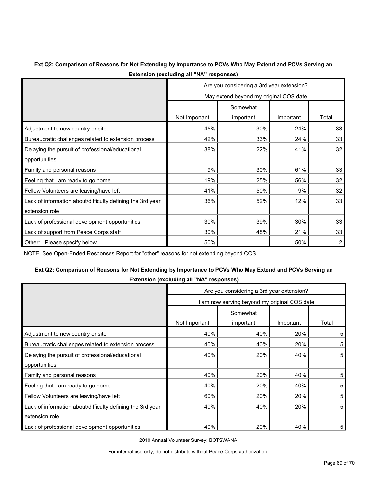#### **Ext Q2: Comparison of Reasons for Not Extending by Importance to PCVs Who May Extend and PCVs Serving an Extension (excluding all "NA" responses)**

|                                                            | Are you considering a 3rd year extension? |           |           |       |  |  |
|------------------------------------------------------------|-------------------------------------------|-----------|-----------|-------|--|--|
|                                                            | May extend beyond my original COS date    |           |           |       |  |  |
|                                                            | Somewhat                                  |           |           |       |  |  |
|                                                            | Not Important                             | important | Important | Total |  |  |
| Adjustment to new country or site                          | 45%                                       | 30%       | 24%       | 33    |  |  |
| Bureaucratic challenges related to extension process       | 42%                                       | 33%       | 24%       | 33    |  |  |
| Delaying the pursuit of professional/educational           | 38%                                       | 22%       | 41%       | 32    |  |  |
| opportunities                                              |                                           |           |           |       |  |  |
| Family and personal reasons                                | 9%                                        | 30%       | 61%       | 33    |  |  |
| Feeling that I am ready to go home                         | 19%                                       | 25%       | 56%       | 32    |  |  |
| Fellow Volunteers are leaving/have left                    | 41%                                       | 50%       | 9%        | 32    |  |  |
| Lack of information about/difficulty defining the 3rd year | 36%                                       | 52%       | 12%       | 33    |  |  |
| extension role                                             |                                           |           |           |       |  |  |
| Lack of professional development opportunities             | 30%                                       | 39%       | 30%       | 33    |  |  |
| Lack of support from Peace Corps staff                     | 30%                                       | 48%       | 21%       | 33    |  |  |
| Please specify below<br>Other:                             | 50%                                       |           | 50%       | 2     |  |  |

NOTE: See Open-Ended Responses Report for "other" reasons for not extending beyond COS

#### **Ext Q2: Comparison of Reasons for Not Extending by Importance to PCVs Who May Extend and PCVs Serving an Extension (excluding all "NA" responses)**

| $\sum_{i=1}^{n}$                                           |                                              |           |           |       |  |  |
|------------------------------------------------------------|----------------------------------------------|-----------|-----------|-------|--|--|
|                                                            | Are you considering a 3rd year extension?    |           |           |       |  |  |
|                                                            | I am now serving beyond my original COS date |           |           |       |  |  |
|                                                            | Somewhat                                     |           |           |       |  |  |
|                                                            | Not Important                                | important | Important | Total |  |  |
| Adjustment to new country or site                          | 40%                                          | 40%       | 20%       | 5     |  |  |
| Bureaucratic challenges related to extension process       | 40%                                          | 40%       | 20%       | 5     |  |  |
| Delaying the pursuit of professional/educational           | 40%                                          | 20%       | 40%       | 5     |  |  |
| opportunities                                              |                                              |           |           |       |  |  |
| Family and personal reasons                                | 40%                                          | 20%       | 40%       | 5     |  |  |
| Feeling that I am ready to go home                         | 40%                                          | 20%       | 40%       | 5     |  |  |
| Fellow Volunteers are leaving/have left                    | 60%                                          | 20%       | 20%       | 5     |  |  |
| Lack of information about/difficulty defining the 3rd year | 40%                                          | 40%       | 20%       | 5     |  |  |
| extension role                                             |                                              |           |           |       |  |  |
| Lack of professional development opportunities             | 40%                                          | 20%       | 40%       | 5     |  |  |

2010 Annual Volunteer Survey: BOTSWANA